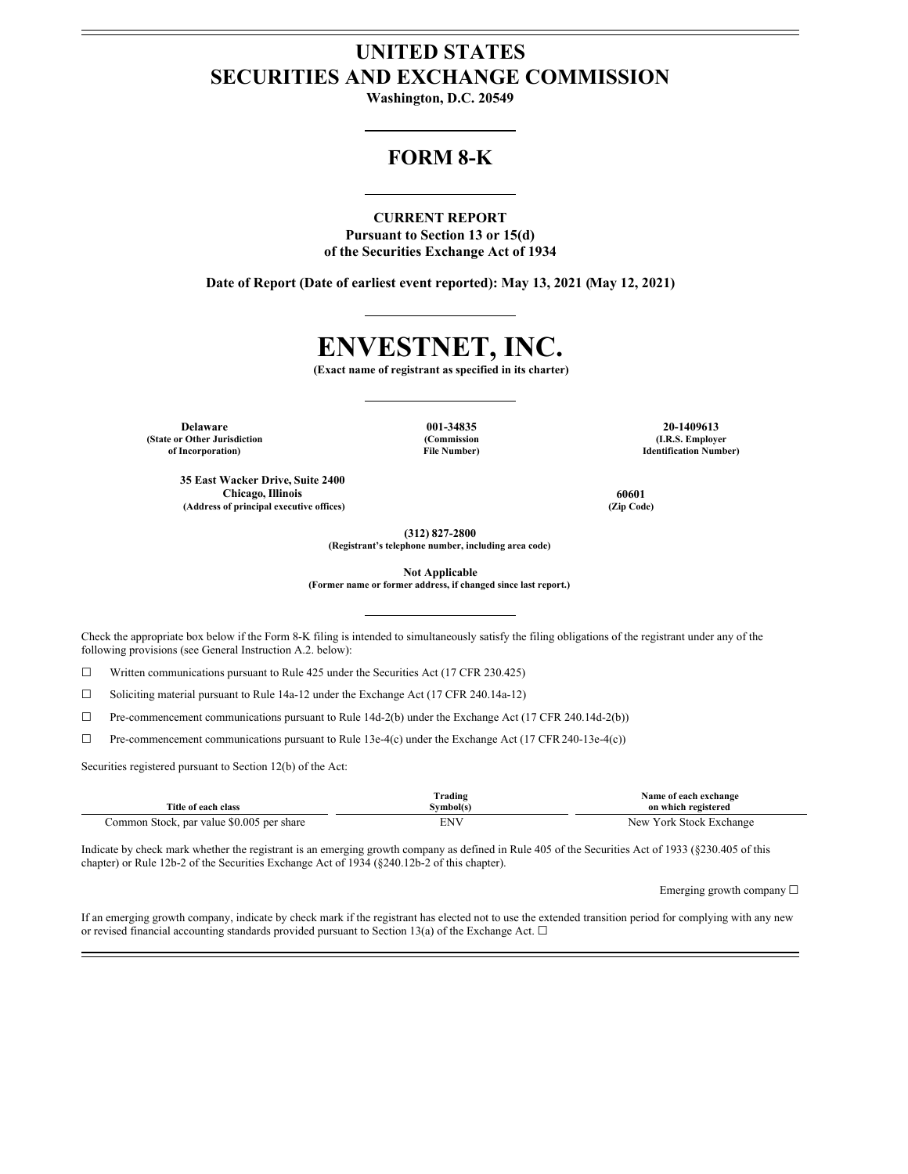# **UNITED STATES SECURITIES AND EXCHANGE COMMISSION**

**Washington, D.C. 20549**

# **FORM 8-K**

# **CURRENT REPORT**

**Pursuant to Section 13 or 15(d) of the Securities Exchange Act of 1934**

**Date of Report (Date of earliest event reported): May 13, 2021 (May 12, 2021)**

# **ENVESTNET, INC.**

**(Exact name of registrant as specified in its charter)**

**(State or Other Jurisdiction of Incorporation)**

**35 East Wacker Drive, Suite 2400**

**(Commission File Number)**

**Delaware 001-34835 20-1409613 (I.R.S. Employer Identification Number)**

**Chicago, Illinois 60601 (Address of principal executive offices) (Zip Code)**

**(312) 827-2800**

**(Registrant's telephone number, including area code)**

**Not Applicable**

**(Former name or former address, if changed since last report.)**

Check the appropriate box below if the Form 8-K filing is intended to simultaneously satisfy the filing obligations of the registrant under any of the following provisions (see General Instruction A.2. below):

 $\Box$  Written communications pursuant to Rule 425 under the Securities Act (17 CFR 230.425)

☐ Soliciting material pursuant to Rule 14a-12 under the Exchange Act (17 CFR 240.14a-12)

☐ Pre-commencement communications pursuant to Rule 14d-2(b) under the Exchange Act (17 CFR 240.14d-2(b))

 $\Box$  Pre-commencement communications pursuant to Rule 13e-4(c) under the Exchange Act (17 CFR 240-13e-4(c))

Securities registered pursuant to Section 12(b) of the Act:

| Title of each class                       | Trading<br>Svmbol(s) | Name of each exchange<br>on which registered |
|-------------------------------------------|----------------------|----------------------------------------------|
| Common Stock, par value \$0.005 per share | ENV                  | New York Stock Exchange                      |

Indicate by check mark whether the registrant is an emerging growth company as defined in Rule 405 of the Securities Act of 1933 (§230.405 of this chapter) or Rule 12b-2 of the Securities Exchange Act of 1934 (§240.12b-2 of this chapter).

Emerging growth company  $\Box$ 

If an emerging growth company, indicate by check mark if the registrant has elected not to use the extended transition period for complying with any new or revised financial accounting standards provided pursuant to Section 13(a) of the Exchange Act.  $\square$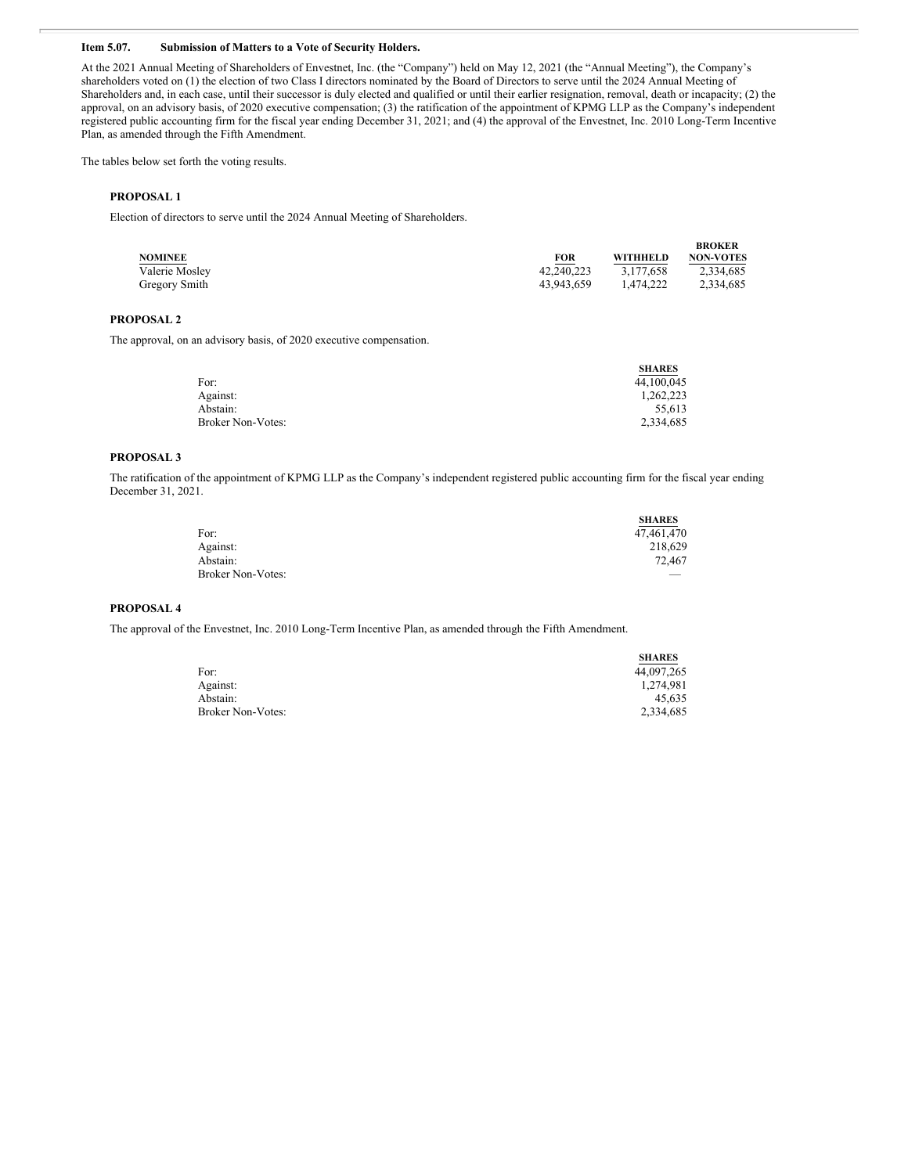# **Item 5.07. Submission of Matters to a Vote of Security Holders.**

At the 2021 Annual Meeting of Shareholders of Envestnet, Inc. (the "Company") held on May 12, 2021 (the "Annual Meeting"), the Company's shareholders voted on (1) the election of two Class I directors nominated by the Board of Directors to serve until the 2024 Annual Meeting of Shareholders and, in each case, until their successor is duly elected and qualified or until their earlier resignation, removal, death or incapacity; (2) the approval, on an advisory basis, of 2020 executive compensation; (3) the ratification of the appointment of KPMG LLP as the Company's independent registered public accounting firm for the fiscal year ending December 31, 2021; and (4) the approval of the Envestnet, Inc. 2010 Long-Term Incentive Plan, as amended through the Fifth Amendment.

The tables below set forth the voting results.

# **PROPOSAL 1**

Election of directors to serve until the 2024 Annual Meeting of Shareholders.

| <b>NOMINEE</b> | <b>FOR</b> | <b>WITHHELD</b> | <b>BROKER</b><br><b>NON-VOTES</b> |
|----------------|------------|-----------------|-----------------------------------|
| Valerie Mosley | 42.240.223 | 3.177.658       | 2,334,685                         |
| Gregory Smith  | 43.943.659 | 1.474.222       | 2.334.685                         |

#### **PROPOSAL 2**

The approval, on an advisory basis, of 2020 executive compensation.

|                          | <b>SHARES</b> |
|--------------------------|---------------|
| For:                     | 44,100,045    |
| Against:                 | 1.262.223     |
| Abstain:                 | 55.613        |
| <b>Broker Non-Votes:</b> | 2,334,685     |

#### **PROPOSAL 3**

The ratification of the appointment of KPMG LLP as the Company's independent registered public accounting firm for the fiscal year ending December 31, 2021.

|                          | <b>SHARES</b> |
|--------------------------|---------------|
| For:                     | 47,461,470    |
| Against:                 | 218,629       |
| Abstain:                 | 72,467        |
| <b>Broker Non-Votes:</b> |               |

#### **PROPOSAL 4**

The approval of the Envestnet, Inc. 2010 Long-Term Incentive Plan, as amended through the Fifth Amendment.

|                          | <b>SHARES</b> |
|--------------------------|---------------|
| For:                     | 44,097,265    |
| Against:                 | 1.274.981     |
| Abstain:                 | 45.635        |
| <b>Broker Non-Votes:</b> | 2,334,685     |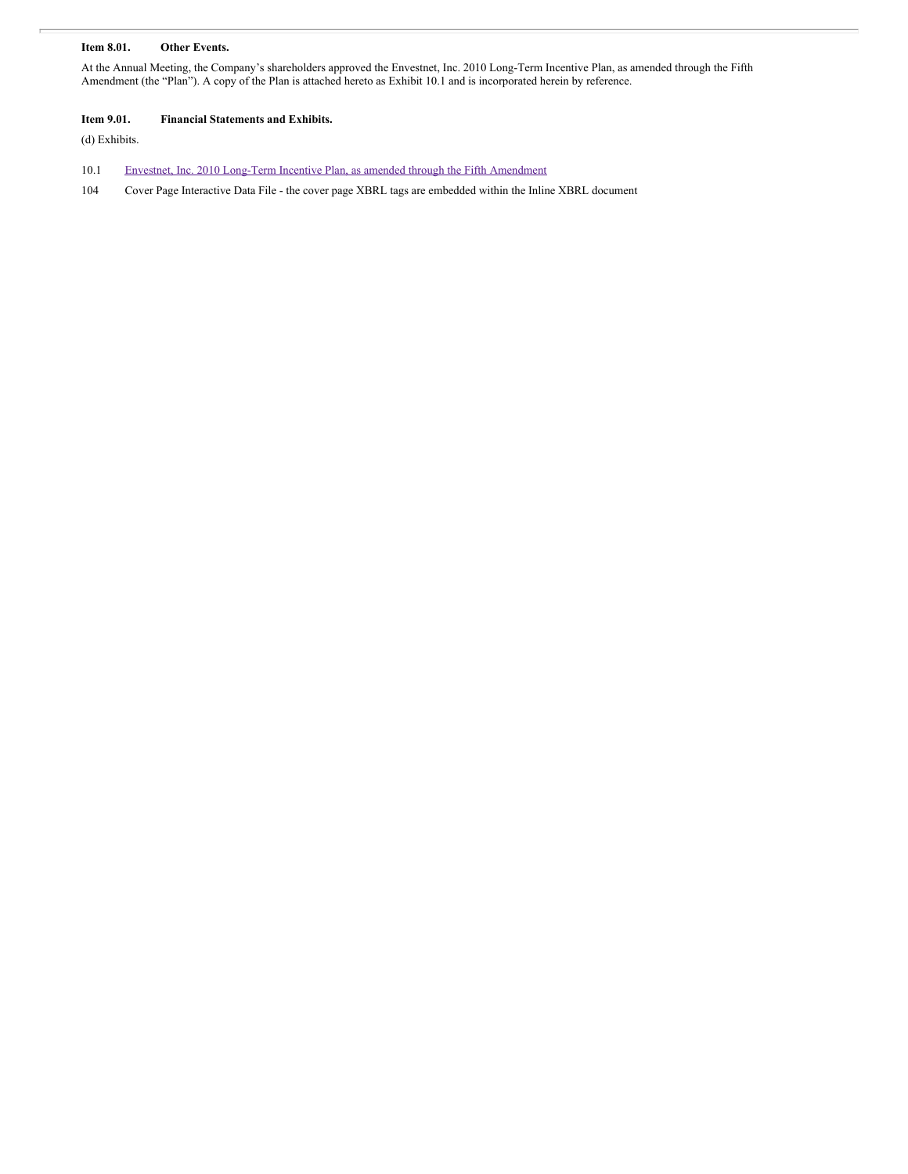# **Item 8.01. Other Events.**

At the Annual Meeting, the Company's shareholders approved the Envestnet, Inc. 2010 Long-Term Incentive Plan, as amended through the Fifth Amendment (the "Plan"). A copy of the Plan is attached hereto as Exhibit 10.1 and is incorporated herein by reference.

# **Item 9.01. Financial Statements and Exhibits.**

(d) Exhibits.

- 10.1 Envestnet, Inc. 2010 Long-Term Incentive Plan, as amended through the Fifth [Amendment](#page-12-0)
- 104 Cover Page Interactive Data File the cover page XBRL tags are embedded within the Inline XBRL document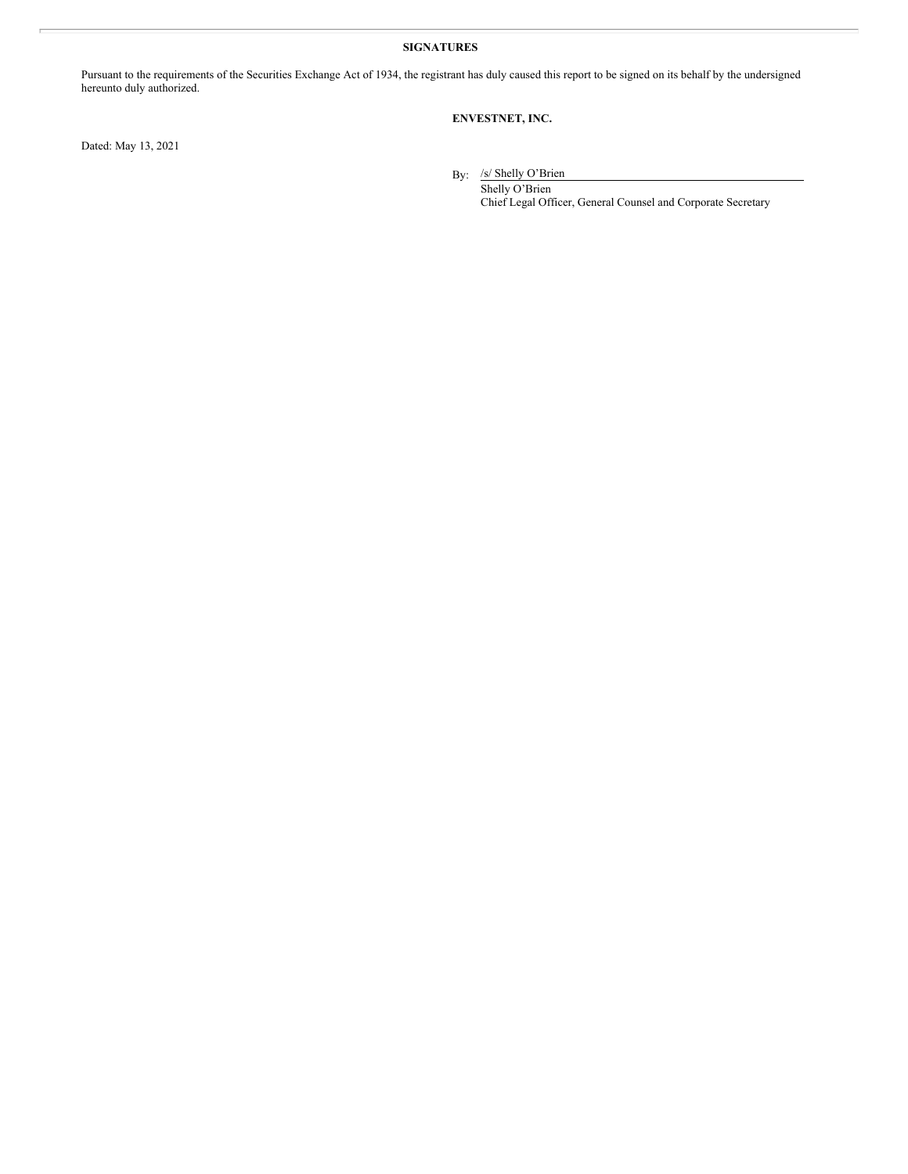# **SIGNATURES**

Pursuant to the requirements of the Securities Exchange Act of 1934, the registrant has duly caused this report to be signed on its behalf by the undersigned hereunto duly authorized.

# **ENVESTNET, INC.**

Dated: May 13, 2021

By: /s/ Shelly O'Brien

Shelly O'Brien Chief Legal Officer, General Counsel and Corporate Secretary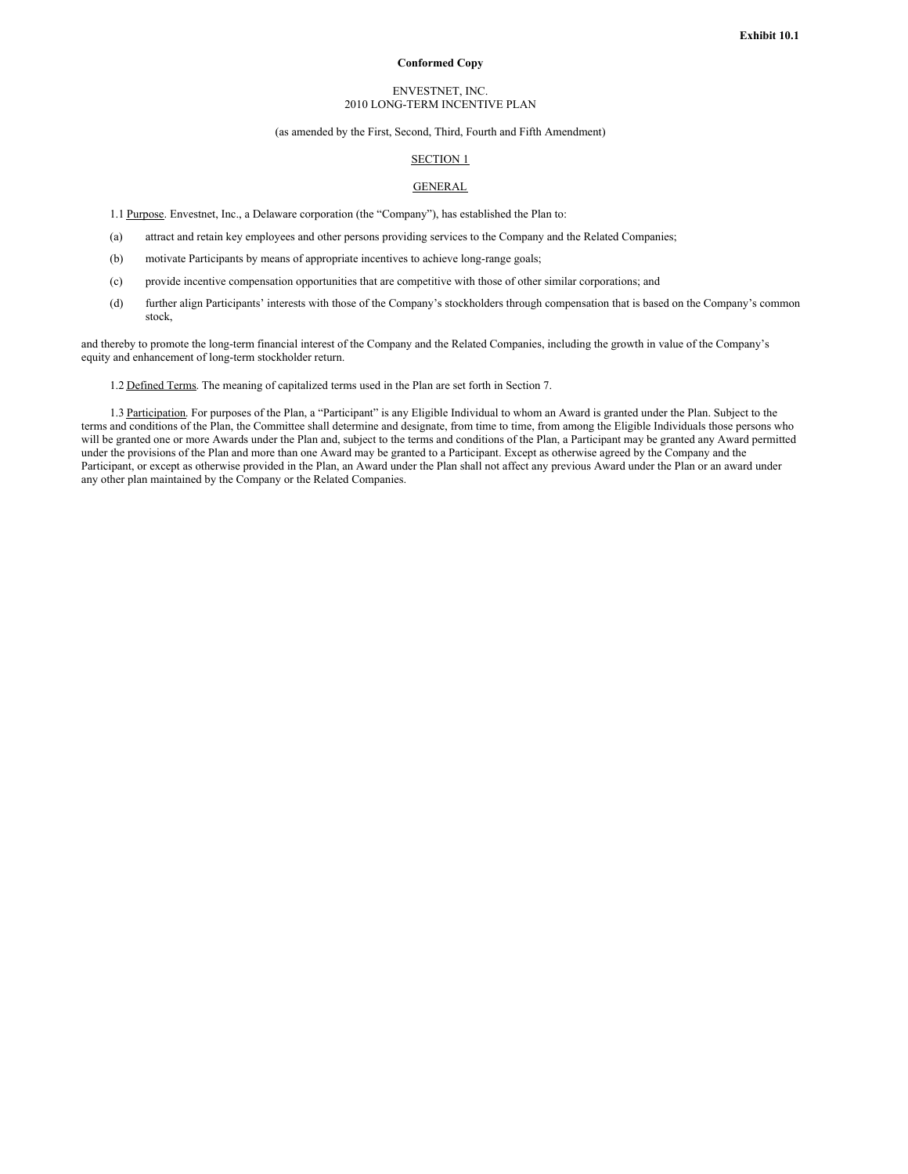#### **Conformed Copy**

#### ENVESTNET, INC. 2010 LONG-TERM INCENTIVE PLAN

#### (as amended by the First, Second, Third, Fourth and Fifth Amendment)

#### SECTION 1

# **GENERAL**

- 1.1 Purpose. Envestnet, Inc., a Delaware corporation (the "Company"), has established the Plan to:
- (a) attract and retain key employees and other persons providing services to the Company and the Related Companies;
- (b) motivate Participants by means of appropriate incentives to achieve long-range goals;
- (c) provide incentive compensation opportunities that are competitive with those of other similar corporations; and
- (d) further align Participants' interests with those of the Company's stockholders through compensation that is based on the Company's common stock,

and thereby to promote the long-term financial interest of the Company and the Related Companies, including the growth in value of the Company's equity and enhancement of long-term stockholder return.

1.2 Defined Terms. The meaning of capitalized terms used in the Plan are set forth in Section 7.

1.3 Participation. For purposes of the Plan, a "Participant" is any Eligible Individual to whom an Award is granted under the Plan. Subject to the terms and conditions of the Plan, the Committee shall determine and designate, from time to time, from among the Eligible Individuals those persons who will be granted one or more Awards under the Plan and, subject to the terms and conditions of the Plan, a Participant may be granted any Award permitted under the provisions of the Plan and more than one Award may be granted to a Participant. Except as otherwise agreed by the Company and the Participant, or except as otherwise provided in the Plan, an Award under the Plan shall not affect any previous Award under the Plan or an award under any other plan maintained by the Company or the Related Companies.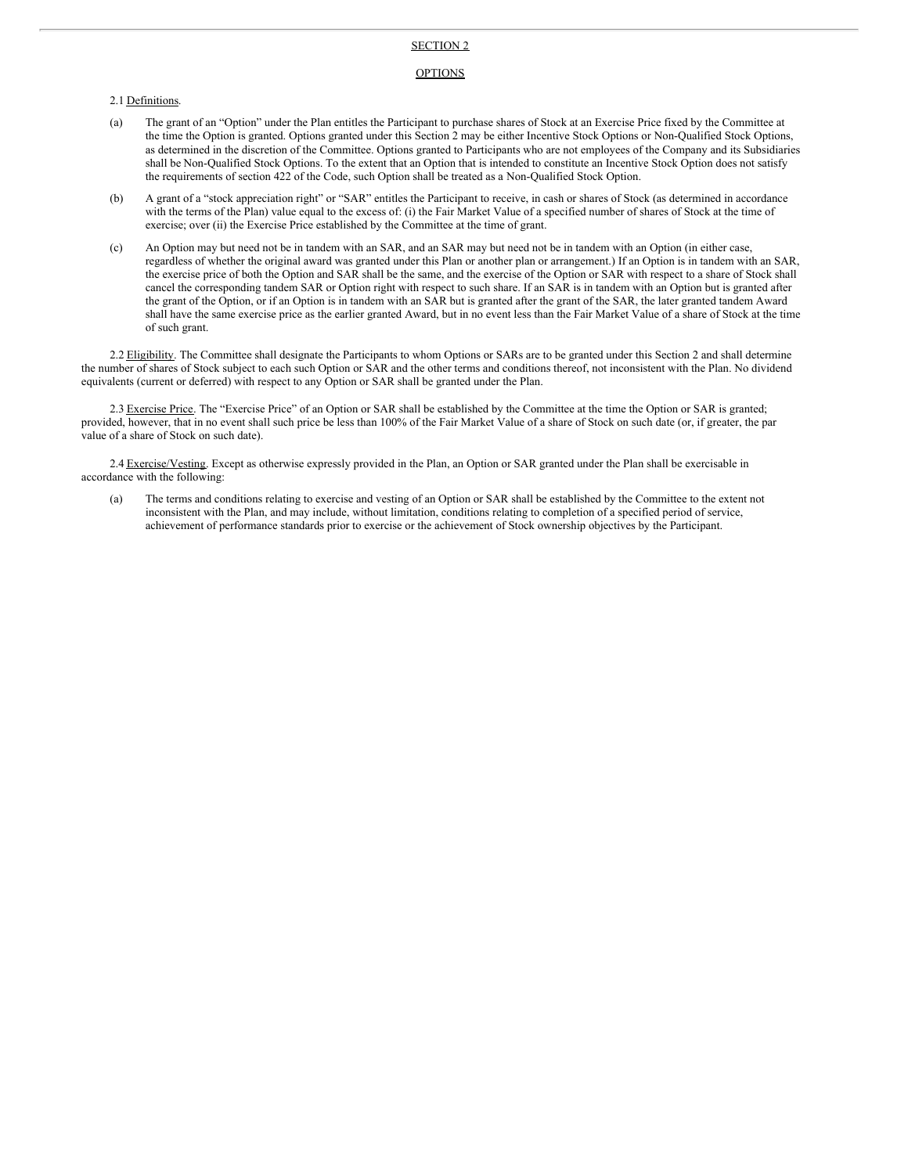#### SECTION 2

#### **OPTIONS**

#### 2.1 Definitions.

- (a) The grant of an "Option" under the Plan entitles the Participant to purchase shares of Stock at an Exercise Price fixed by the Committee at the time the Option is granted. Options granted under this Section 2 may be either Incentive Stock Options or Non-Qualified Stock Options, as determined in the discretion of the Committee. Options granted to Participants who are not employees of the Company and its Subsidiaries shall be Non-Qualified Stock Options. To the extent that an Option that is intended to constitute an Incentive Stock Option does not satisfy the requirements of section 422 of the Code, such Option shall be treated as a Non-Qualified Stock Option.
- (b) A grant of a "stock appreciation right" or "SAR" entitles the Participant to receive, in cash or shares of Stock (as determined in accordance with the terms of the Plan) value equal to the excess of: (i) the Fair Market Value of a specified number of shares of Stock at the time of exercise; over (ii) the Exercise Price established by the Committee at the time of grant.
- (c) An Option may but need not be in tandem with an SAR, and an SAR may but need not be in tandem with an Option (in either case, regardless of whether the original award was granted under this Plan or another plan or arrangement.) If an Option is in tandem with an SAR, the exercise price of both the Option and SAR shall be the same, and the exercise of the Option or SAR with respect to a share of Stock shall cancel the corresponding tandem SAR or Option right with respect to such share. If an SAR is in tandem with an Option but is granted after the grant of the Option, or if an Option is in tandem with an SAR but is granted after the grant of the SAR, the later granted tandem Award shall have the same exercise price as the earlier granted Award, but in no event less than the Fair Market Value of a share of Stock at the time of such grant.

2.2 Eligibility. The Committee shall designate the Participants to whom Options or SARs are to be granted under this Section 2 and shall determine the number of shares of Stock subject to each such Option or SAR and the other terms and conditions thereof, not inconsistent with the Plan. No dividend equivalents (current or deferred) with respect to any Option or SAR shall be granted under the Plan.

2.3 Exercise Price. The "Exercise Price" of an Option or SAR shall be established by the Committee at the time the Option or SAR is granted; provided, however, that in no event shall such price be less than 100% of the Fair Market Value of a share of Stock on such date (or, if greater, the par value of a share of Stock on such date).

2.4 Exercise/Vesting. Except as otherwise expressly provided in the Plan, an Option or SAR granted under the Plan shall be exercisable in accordance with the following:

(a) The terms and conditions relating to exercise and vesting of an Option or SAR shall be established by the Committee to the extent not inconsistent with the Plan, and may include, without limitation, conditions relating to completion of a specified period of service, achievement of performance standards prior to exercise or the achievement of Stock ownership objectives by the Participant.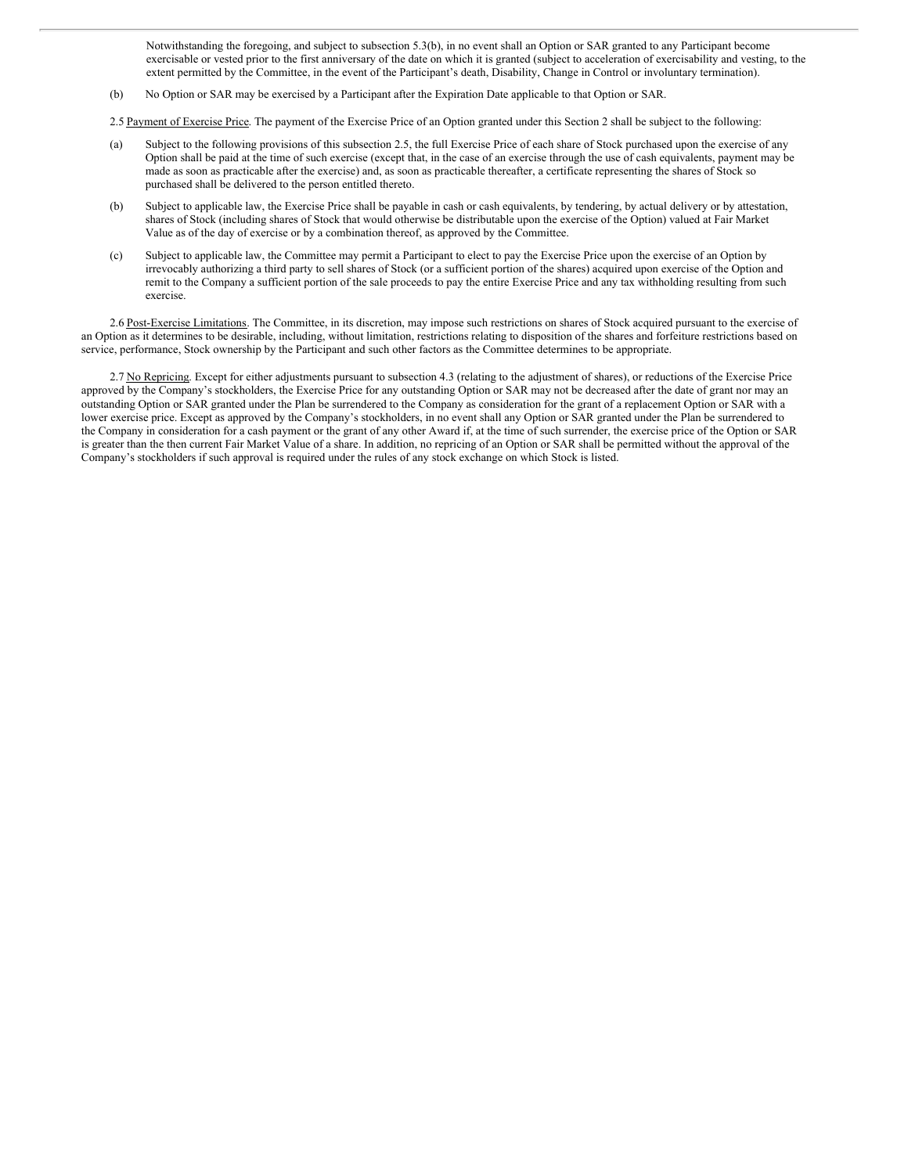Notwithstanding the foregoing, and subject to subsection 5.3(b), in no event shall an Option or SAR granted to any Participant become exercisable or vested prior to the first anniversary of the date on which it is granted (subject to acceleration of exercisability and vesting, to the extent permitted by the Committee, in the event of the Participant's death, Disability, Change in Control or involuntary termination).

(b) No Option or SAR may be exercised by a Participant after the Expiration Date applicable to that Option or SAR.

2.5 Payment of Exercise Price. The payment of the Exercise Price of an Option granted under this Section 2 shall be subject to the following:

- (a) Subject to the following provisions of this subsection 2.5, the full Exercise Price of each share of Stock purchased upon the exercise of any Option shall be paid at the time of such exercise (except that, in the case of an exercise through the use of cash equivalents, payment may be made as soon as practicable after the exercise) and, as soon as practicable thereafter, a certificate representing the shares of Stock so purchased shall be delivered to the person entitled thereto.
- (b) Subject to applicable law, the Exercise Price shall be payable in cash or cash equivalents, by tendering, by actual delivery or by attestation, shares of Stock (including shares of Stock that would otherwise be distributable upon the exercise of the Option) valued at Fair Market Value as of the day of exercise or by a combination thereof, as approved by the Committee.
- (c) Subject to applicable law, the Committee may permit a Participant to elect to pay the Exercise Price upon the exercise of an Option by irrevocably authorizing a third party to sell shares of Stock (or a sufficient portion of the shares) acquired upon exercise of the Option and remit to the Company a sufficient portion of the sale proceeds to pay the entire Exercise Price and any tax withholding resulting from such exercise.

2.6 Post-Exercise Limitations. The Committee, in its discretion, may impose such restrictions on shares of Stock acquired pursuant to the exercise of an Option as it determines to be desirable, including, without limitation, restrictions relating to disposition of the shares and forfeiture restrictions based on service, performance, Stock ownership by the Participant and such other factors as the Committee determines to be appropriate.

2.7 No Repricing. Except for either adjustments pursuant to subsection 4.3 (relating to the adjustment of shares), or reductions of the Exercise Price approved by the Company's stockholders, the Exercise Price for any outstanding Option or SAR may not be decreased after the date of grant nor may an outstanding Option or SAR granted under the Plan be surrendered to the Company as consideration for the grant of a replacement Option or SAR with a lower exercise price. Except as approved by the Company's stockholders, in no event shall any Option or SAR granted under the Plan be surrendered to the Company in consideration for a cash payment or the grant of any other Award if, at the time of such surrender, the exercise price of the Option or SAR is greater than the then current Fair Market Value of a share. In addition, no repricing of an Option or SAR shall be permitted without the approval of the Company's stockholders if such approval is required under the rules of any stock exchange on which Stock is listed.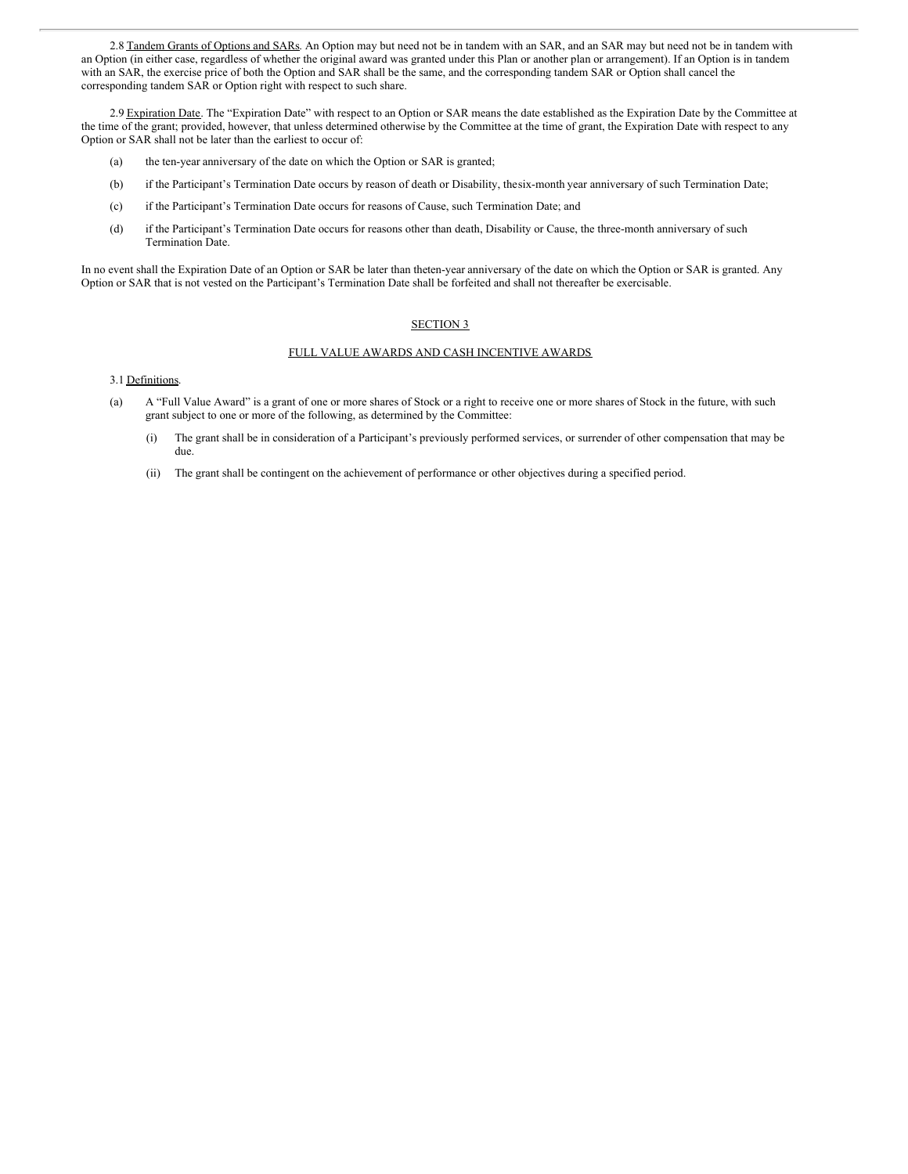2.8 Tandem Grants of Options and SARs. An Option may but need not be in tandem with an SAR, and an SAR may but need not be in tandem with an Option (in either case, regardless of whether the original award was granted under this Plan or another plan or arrangement). If an Option is in tandem with an SAR, the exercise price of both the Option and SAR shall be the same, and the corresponding tandem SAR or Option shall cancel the corresponding tandem SAR or Option right with respect to such share.

2.9 Expiration Date. The "Expiration Date" with respect to an Option or SAR means the date established as the Expiration Date by the Committee at the time of the grant; provided, however, that unless determined otherwise by the Committee at the time of grant, the Expiration Date with respect to any Option or SAR shall not be later than the earliest to occur of:

- (a) the ten-year anniversary of the date on which the Option or SAR is granted;
- (b) if the Participant's Termination Date occurs by reason of death or Disability, thesix-month year anniversary of such Termination Date;
- (c) if the Participant's Termination Date occurs for reasons of Cause, such Termination Date; and
- (d) if the Participant's Termination Date occurs for reasons other than death, Disability or Cause, the three-month anniversary of such Termination Date.

In no event shall the Expiration Date of an Option or SAR be later than theten-year anniversary of the date on which the Option or SAR is granted. Any Option or SAR that is not vested on the Participant's Termination Date shall be forfeited and shall not thereafter be exercisable.

#### SECTION 3

#### FULL VALUE AWARDS AND CASH INCENTIVE AWARDS

#### 3.1 Definitions.

- (a) A "Full Value Award" is a grant of one or more shares of Stock or a right to receive one or more shares of Stock in the future, with such grant subject to one or more of the following, as determined by the Committee:
	- (i) The grant shall be in consideration of a Participant's previously performed services, or surrender of other compensation that may be due.
	- (ii) The grant shall be contingent on the achievement of performance or other objectives during a specified period.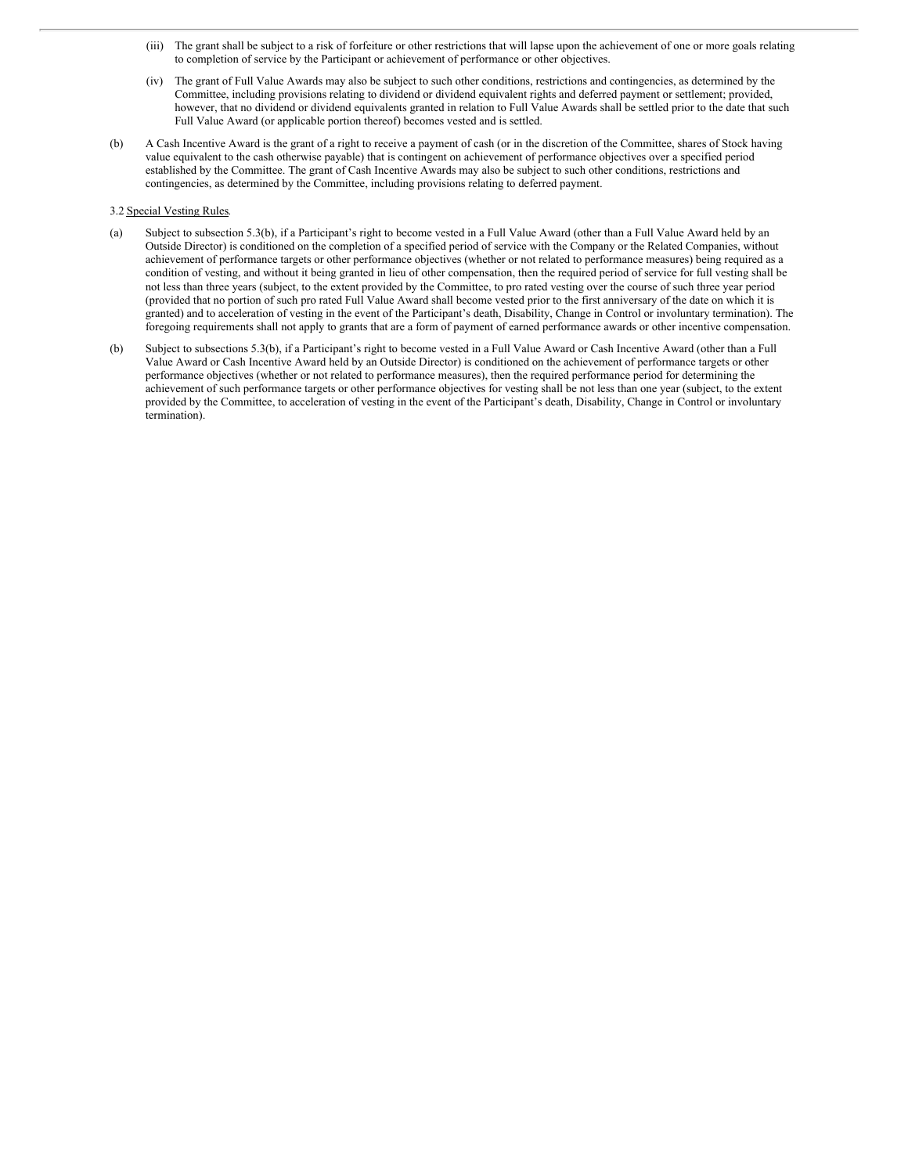- (iii) The grant shall be subject to a risk of forfeiture or other restrictions that will lapse upon the achievement of one or more goals relating to completion of service by the Participant or achievement of performance or other objectives.
- (iv) The grant of Full Value Awards may also be subject to such other conditions, restrictions and contingencies, as determined by the Committee, including provisions relating to dividend or dividend equivalent rights and deferred payment or settlement; provided, however, that no dividend or dividend equivalents granted in relation to Full Value Awards shall be settled prior to the date that such Full Value Award (or applicable portion thereof) becomes vested and is settled.
- (b) A Cash Incentive Award is the grant of a right to receive a payment of cash (or in the discretion of the Committee, shares of Stock having value equivalent to the cash otherwise payable) that is contingent on achievement of performance objectives over a specified period established by the Committee. The grant of Cash Incentive Awards may also be subject to such other conditions, restrictions and contingencies, as determined by the Committee, including provisions relating to deferred payment.

#### 3.2 Special Vesting Rules.

- (a) Subject to subsection 5.3(b), if a Participant's right to become vested in a Full Value Award (other than a Full Value Award held by an Outside Director) is conditioned on the completion of a specified period of service with the Company or the Related Companies, without achievement of performance targets or other performance objectives (whether or not related to performance measures) being required as a condition of vesting, and without it being granted in lieu of other compensation, then the required period of service for full vesting shall be not less than three years (subject, to the extent provided by the Committee, to pro rated vesting over the course of such three year period (provided that no portion of such pro rated Full Value Award shall become vested prior to the first anniversary of the date on which it is granted) and to acceleration of vesting in the event of the Participant's death, Disability, Change in Control or involuntary termination). The foregoing requirements shall not apply to grants that are a form of payment of earned performance awards or other incentive compensation.
- (b) Subject to subsections 5.3(b), if a Participant's right to become vested in a Full Value Award or Cash Incentive Award (other than a Full Value Award or Cash Incentive Award held by an Outside Director) is conditioned on the achievement of performance targets or other performance objectives (whether or not related to performance measures), then the required performance period for determining the achievement of such performance targets or other performance objectives for vesting shall be not less than one year (subject, to the extent provided by the Committee, to acceleration of vesting in the event of the Participant's death, Disability, Change in Control or involuntary termination).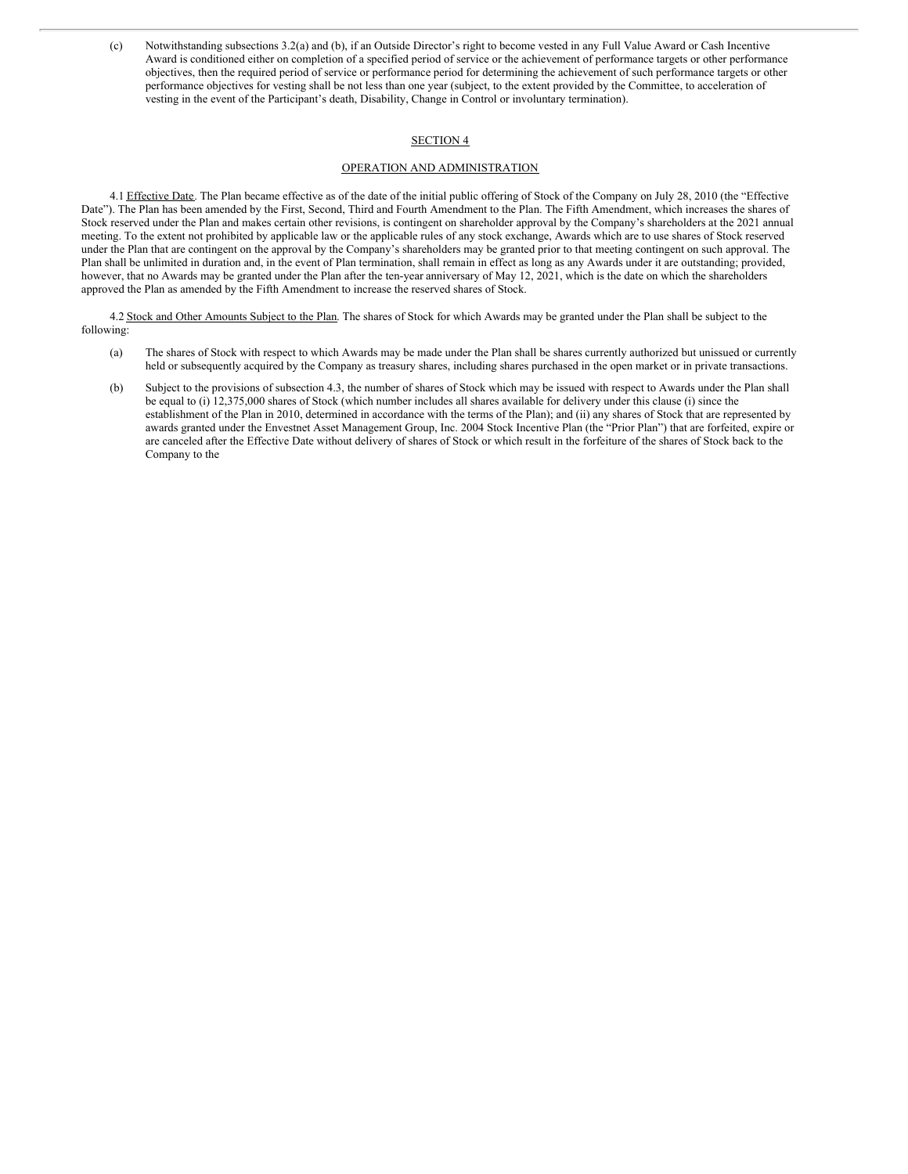(c) Notwithstanding subsections 3.2(a) and (b), if an Outside Director's right to become vested in any Full Value Award or Cash Incentive Award is conditioned either on completion of a specified period of service or the achievement of performance targets or other performance objectives, then the required period of service or performance period for determining the achievement of such performance targets or other performance objectives for vesting shall be not less than one year (subject, to the extent provided by the Committee, to acceleration of vesting in the event of the Participant's death, Disability, Change in Control or involuntary termination).

### SECTION 4

# OPERATION AND ADMINISTRATION

4.1 Effective Date. The Plan became effective as of the date of the initial public offering of Stock of the Company on July 28, 2010 (the "Effective Date"). The Plan has been amended by the First, Second, Third and Fourth Amendment to the Plan. The Fifth Amendment, which increases the shares of Stock reserved under the Plan and makes certain other revisions, is contingent on shareholder approval by the Company's shareholders at the 2021 annual meeting. To the extent not prohibited by applicable law or the applicable rules of any stock exchange, Awards which are to use shares of Stock reserved under the Plan that are contingent on the approval by the Company's shareholders may be granted prior to that meeting contingent on such approval. The Plan shall be unlimited in duration and, in the event of Plan termination, shall remain in effect as long as any Awards under it are outstanding; provided, however, that no Awards may be granted under the Plan after the ten-year anniversary of May 12, 2021, which is the date on which the shareholders approved the Plan as amended by the Fifth Amendment to increase the reserved shares of Stock.

4.2 Stock and Other Amounts Subject to the Plan. The shares of Stock for which Awards may be granted under the Plan shall be subject to the following:

- (a) The shares of Stock with respect to which Awards may be made under the Plan shall be shares currently authorized but unissued or currently held or subsequently acquired by the Company as treasury shares, including shares purchased in the open market or in private transactions.
- (b) Subject to the provisions of subsection 4.3, the number of shares of Stock which may be issued with respect to Awards under the Plan shall be equal to (i) 12,375,000 shares of Stock (which number includes all shares available for delivery under this clause (i) since the establishment of the Plan in 2010, determined in accordance with the terms of the Plan); and (ii) any shares of Stock that are represented by awards granted under the Envestnet Asset Management Group, Inc. 2004 Stock Incentive Plan (the "Prior Plan") that are forfeited, expire or are canceled after the Effective Date without delivery of shares of Stock or which result in the forfeiture of the shares of Stock back to the Company to the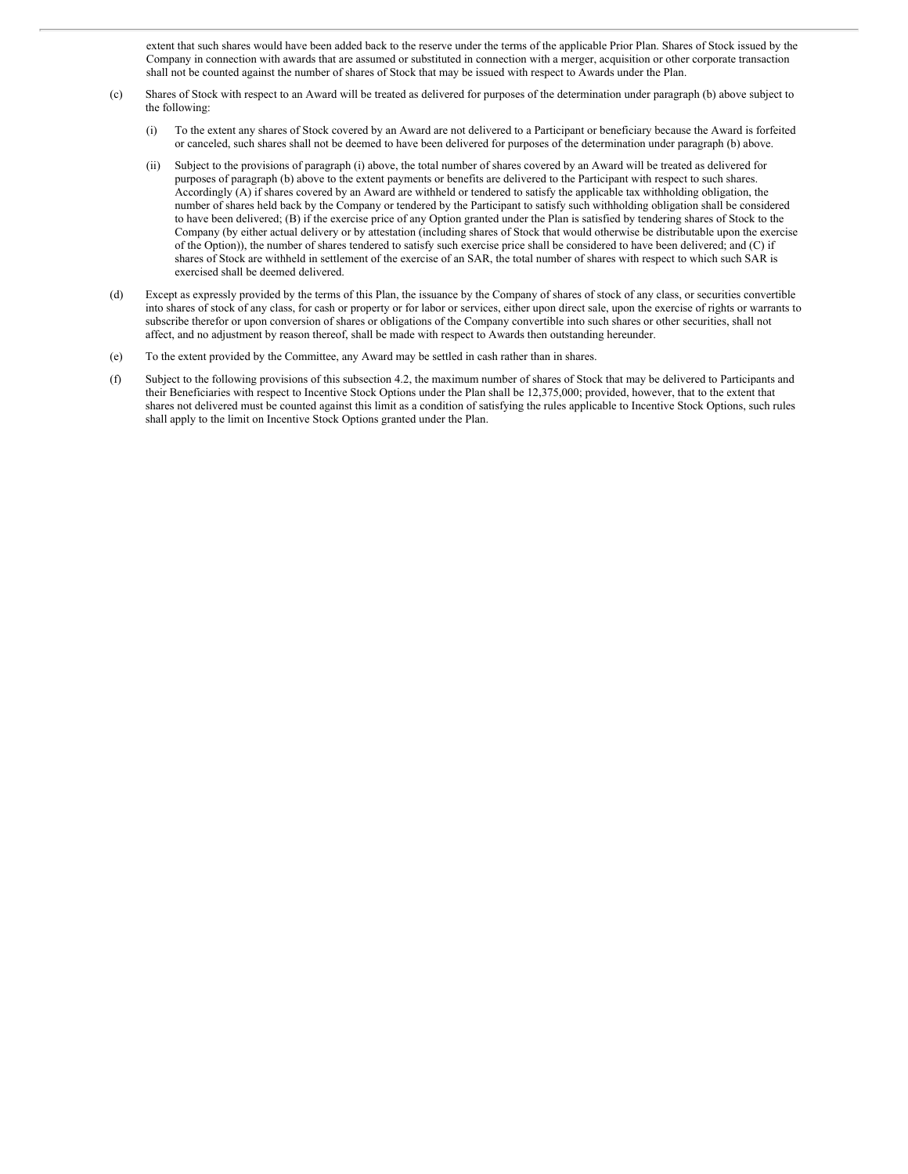extent that such shares would have been added back to the reserve under the terms of the applicable Prior Plan. Shares of Stock issued by the Company in connection with awards that are assumed or substituted in connection with a merger, acquisition or other corporate transaction shall not be counted against the number of shares of Stock that may be issued with respect to Awards under the Plan.

- (c) Shares of Stock with respect to an Award will be treated as delivered for purposes of the determination under paragraph (b) above subject to the following:
	- (i) To the extent any shares of Stock covered by an Award are not delivered to a Participant or beneficiary because the Award is forfeited or canceled, such shares shall not be deemed to have been delivered for purposes of the determination under paragraph (b) above.
	- (ii) Subject to the provisions of paragraph (i) above, the total number of shares covered by an Award will be treated as delivered for purposes of paragraph (b) above to the extent payments or benefits are delivered to the Participant with respect to such shares. Accordingly (A) if shares covered by an Award are withheld or tendered to satisfy the applicable tax withholding obligation, the number of shares held back by the Company or tendered by the Participant to satisfy such withholding obligation shall be considered to have been delivered; (B) if the exercise price of any Option granted under the Plan is satisfied by tendering shares of Stock to the Company (by either actual delivery or by attestation (including shares of Stock that would otherwise be distributable upon the exercise of the Option)), the number of shares tendered to satisfy such exercise price shall be considered to have been delivered; and (C) if shares of Stock are withheld in settlement of the exercise of an SAR, the total number of shares with respect to which such SAR is exercised shall be deemed delivered.
- (d) Except as expressly provided by the terms of this Plan, the issuance by the Company of shares of stock of any class, or securities convertible into shares of stock of any class, for cash or property or for labor or services, either upon direct sale, upon the exercise of rights or warrants to subscribe therefor or upon conversion of shares or obligations of the Company convertible into such shares or other securities, shall not affect, and no adjustment by reason thereof, shall be made with respect to Awards then outstanding hereunder.
- (e) To the extent provided by the Committee, any Award may be settled in cash rather than in shares.
- (f) Subject to the following provisions of this subsection 4.2, the maximum number of shares of Stock that may be delivered to Participants and their Beneficiaries with respect to Incentive Stock Options under the Plan shall be 12,375,000; provided, however, that to the extent that shares not delivered must be counted against this limit as a condition of satisfying the rules applicable to Incentive Stock Options, such rules shall apply to the limit on Incentive Stock Options granted under the Plan.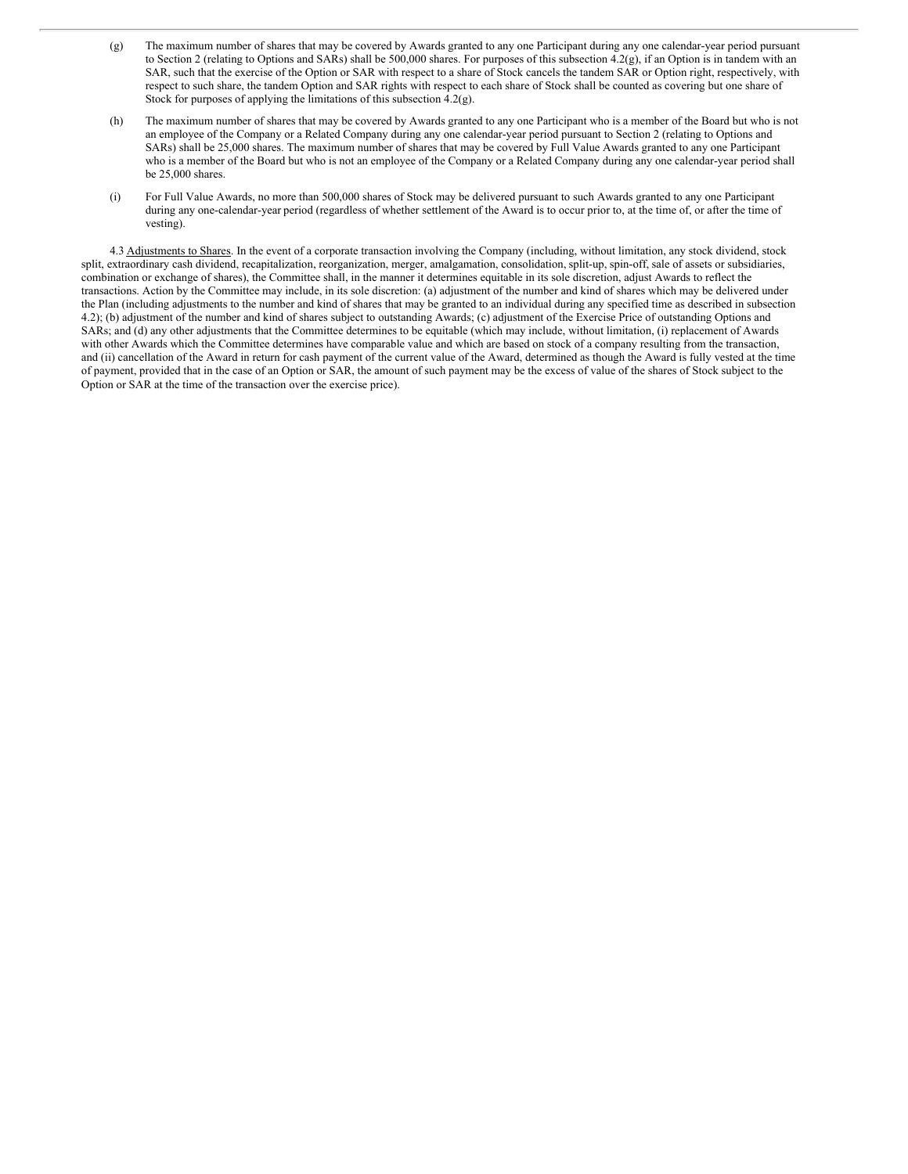- (g) The maximum number of shares that may be covered by Awards granted to any one Participant during any one calendar-year period pursuant to Section 2 (relating to Options and SARs) shall be 500,000 shares. For purposes of this subsection 4.2(g), if an Option is in tandem with an SAR, such that the exercise of the Option or SAR with respect to a share of Stock cancels the tandem SAR or Option right, respectively, with respect to such share, the tandem Option and SAR rights with respect to each share of Stock shall be counted as covering but one share of Stock for purposes of applying the limitations of this subsection  $\hat{4.2}$ (g).
- (h) The maximum number of shares that may be covered by Awards granted to any one Participant who is a member of the Board but who is not an employee of the Company or a Related Company during any one calendar-year period pursuant to Section 2 (relating to Options and SARs) shall be 25,000 shares. The maximum number of shares that may be covered by Full Value Awards granted to any one Participant who is a member of the Board but who is not an employee of the Company or a Related Company during any one calendar-year period shall be 25,000 shares.
- (i) For Full Value Awards, no more than 500,000 shares of Stock may be delivered pursuant to such Awards granted to any one Participant during any one-calendar-year period (regardless of whether settlement of the Award is to occur prior to, at the time of, or after the time of vesting).

4.3 Adjustments to Shares. In the event of a corporate transaction involving the Company (including, without limitation, any stock dividend, stock split, extraordinary cash dividend, recapitalization, reorganization, merger, amalgamation, consolidation, split-up, spin-off, sale of assets or subsidiaries, combination or exchange of shares), the Committee shall, in the manner it determines equitable in its sole discretion, adjust Awards to reflect the transactions. Action by the Committee may include, in its sole discretion: (a) adjustment of the number and kind of shares which may be delivered under the Plan (including adjustments to the number and kind of shares that may be granted to an individual during any specified time as described in subsection 4.2); (b) adjustment of the number and kind of shares subject to outstanding Awards; (c) adjustment of the Exercise Price of outstanding Options and SARs; and (d) any other adjustments that the Committee determines to be equitable (which may include, without limitation, (i) replacement of Awards with other Awards which the Committee determines have comparable value and which are based on stock of a company resulting from the transaction, and (ii) cancellation of the Award in return for cash payment of the current value of the Award, determined as though the Award is fully vested at the time of payment, provided that in the case of an Option or SAR, the amount of such payment may be the excess of value of the shares of Stock subject to the Option or SAR at the time of the transaction over the exercise price).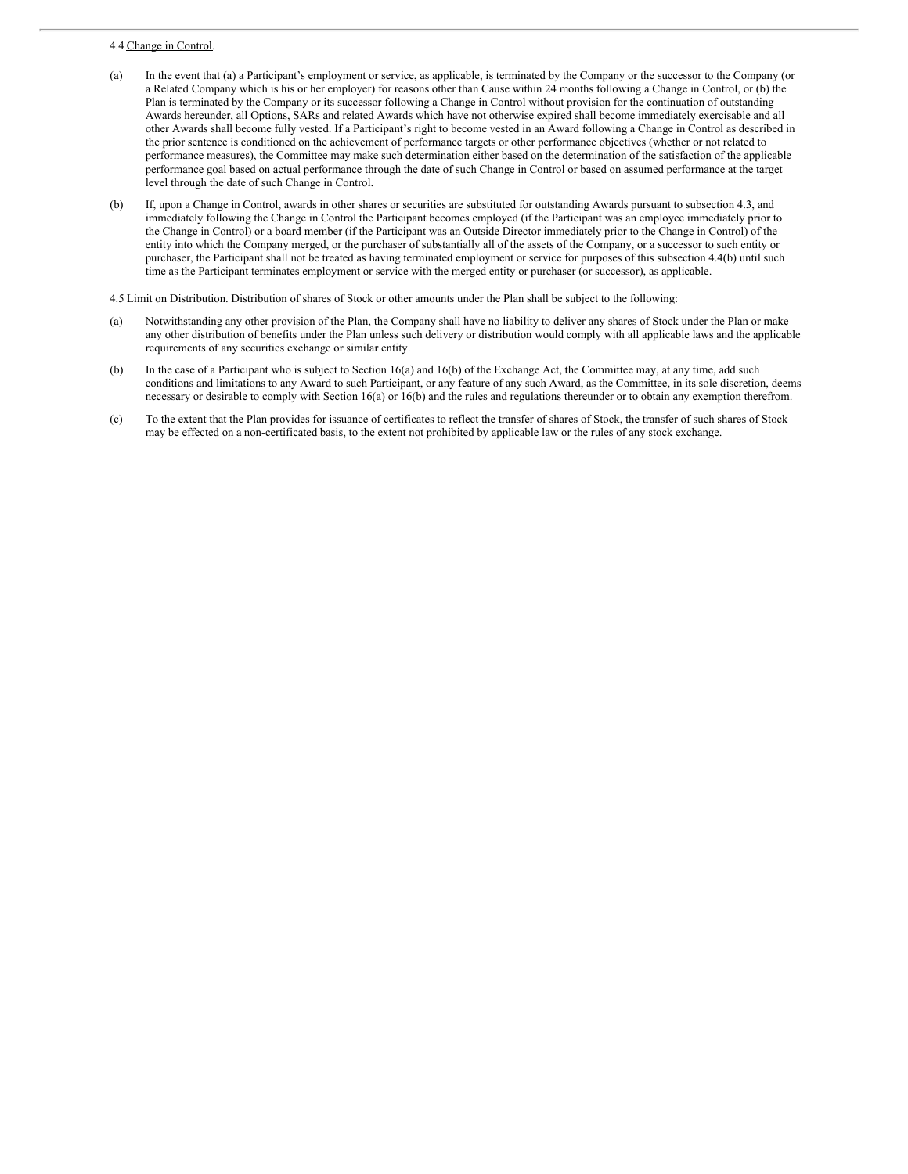#### <span id="page-12-0"></span>4.4 Change in Control.

- (a) In the event that (a) a Participant's employment or service, as applicable, is terminated by the Company or the successor to the Company (or a Related Company which is his or her employer) for reasons other than Cause within 24 months following a Change in Control, or (b) the Plan is terminated by the Company or its successor following a Change in Control without provision for the continuation of outstanding Awards hereunder, all Options, SARs and related Awards which have not otherwise expired shall become immediately exercisable and all other Awards shall become fully vested. If a Participant's right to become vested in an Award following a Change in Control as described in the prior sentence is conditioned on the achievement of performance targets or other performance objectives (whether or not related to performance measures), the Committee may make such determination either based on the determination of the satisfaction of the applicable performance goal based on actual performance through the date of such Change in Control or based on assumed performance at the target level through the date of such Change in Control.
- (b) If, upon a Change in Control, awards in other shares or securities are substituted for outstanding Awards pursuant to subsection 4.3, and immediately following the Change in Control the Participant becomes employed (if the Participant was an employee immediately prior to the Change in Control) or a board member (if the Participant was an Outside Director immediately prior to the Change in Control) of the entity into which the Company merged, or the purchaser of substantially all of the assets of the Company, or a successor to such entity or purchaser, the Participant shall not be treated as having terminated employment or service for purposes of this subsection 4.4(b) until such time as the Participant terminates employment or service with the merged entity or purchaser (or successor), as applicable.

4.5 Limit on Distribution. Distribution of shares of Stock or other amounts under the Plan shall be subject to the following:

- (a) Notwithstanding any other provision of the Plan, the Company shall have no liability to deliver any shares of Stock under the Plan or make any other distribution of benefits under the Plan unless such delivery or distribution would comply with all applicable laws and the applicable requirements of any securities exchange or similar entity.
- (b) In the case of a Participant who is subject to Section 16(a) and 16(b) of the Exchange Act, the Committee may, at any time, add such conditions and limitations to any Award to such Participant, or any feature of any such Award, as the Committee, in its sole discretion, deems necessary or desirable to comply with Section 16(a) or 16(b) and the rules and regulations thereunder or to obtain any exemption therefrom.
- (c) To the extent that the Plan provides for issuance of certificates to reflect the transfer of shares of Stock, the transfer of such shares of Stock may be effected on a non-certificated basis, to the extent not prohibited by applicable law or the rules of any stock exchange.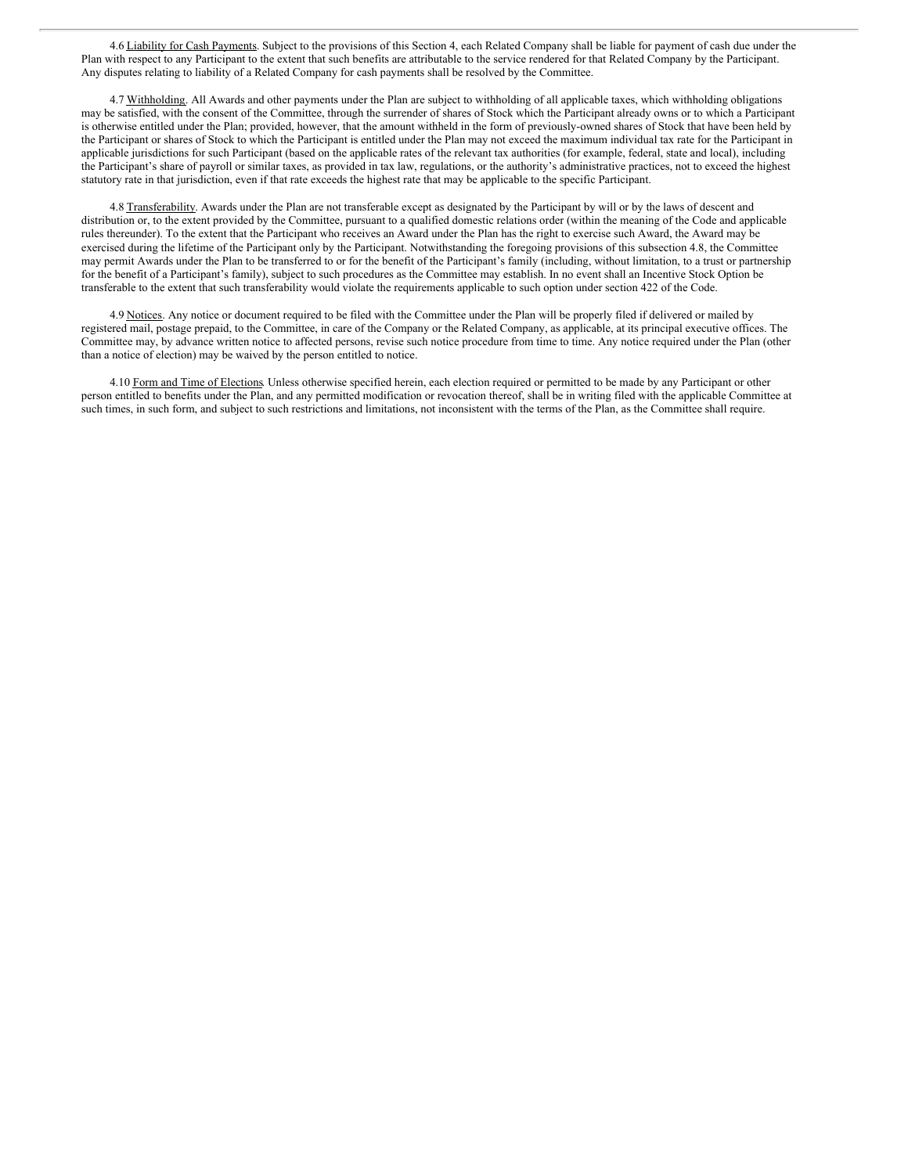4.6 Liability for Cash Payments. Subject to the provisions of this Section 4, each Related Company shall be liable for payment of cash due under the Plan with respect to any Participant to the extent that such benefits are attributable to the service rendered for that Related Company by the Participant. Any disputes relating to liability of a Related Company for cash payments shall be resolved by the Committee.

4.7 Withholding. All Awards and other payments under the Plan are subject to withholding of all applicable taxes, which withholding obligations may be satisfied, with the consent of the Committee, through the surrender of shares of Stock which the Participant already owns or to which a Participant is otherwise entitled under the Plan; provided, however, that the amount withheld in the form of previously-owned shares of Stock that have been held by the Participant or shares of Stock to which the Participant is entitled under the Plan may not exceed the maximum individual tax rate for the Participant in applicable jurisdictions for such Participant (based on the applicable rates of the relevant tax authorities (for example, federal, state and local), including the Participant's share of payroll or similar taxes, as provided in tax law, regulations, or the authority's administrative practices, not to exceed the highest statutory rate in that jurisdiction, even if that rate exceeds the highest rate that may be applicable to the specific Participant.

4.8 Transferability. Awards under the Plan are not transferable except as designated by the Participant by will or by the laws of descent and distribution or, to the extent provided by the Committee, pursuant to a qualified domestic relations order (within the meaning of the Code and applicable rules thereunder). To the extent that the Participant who receives an Award under the Plan has the right to exercise such Award, the Award may be exercised during the lifetime of the Participant only by the Participant. Notwithstanding the foregoing provisions of this subsection 4.8, the Committee may permit Awards under the Plan to be transferred to or for the benefit of the Participant's family (including, without limitation, to a trust or partnership for the benefit of a Participant's family), subject to such procedures as the Committee may establish. In no event shall an Incentive Stock Option be transferable to the extent that such transferability would violate the requirements applicable to such option under section 422 of the Code.

4.9 Notices. Any notice or document required to be filed with the Committee under the Plan will be properly filed if delivered or mailed by registered mail, postage prepaid, to the Committee, in care of the Company or the Related Company, as applicable, at its principal executive offices. The Committee may, by advance written notice to affected persons, revise such notice procedure from time to time. Any notice required under the Plan (other than a notice of election) may be waived by the person entitled to notice.

4.10 Form and Time of Elections. Unless otherwise specified herein, each election required or permitted to be made by any Participant or other person entitled to benefits under the Plan, and any permitted modification or revocation thereof, shall be in writing filed with the applicable Committee at such times, in such form, and subject to such restrictions and limitations, not inconsistent with the terms of the Plan, as the Committee shall require.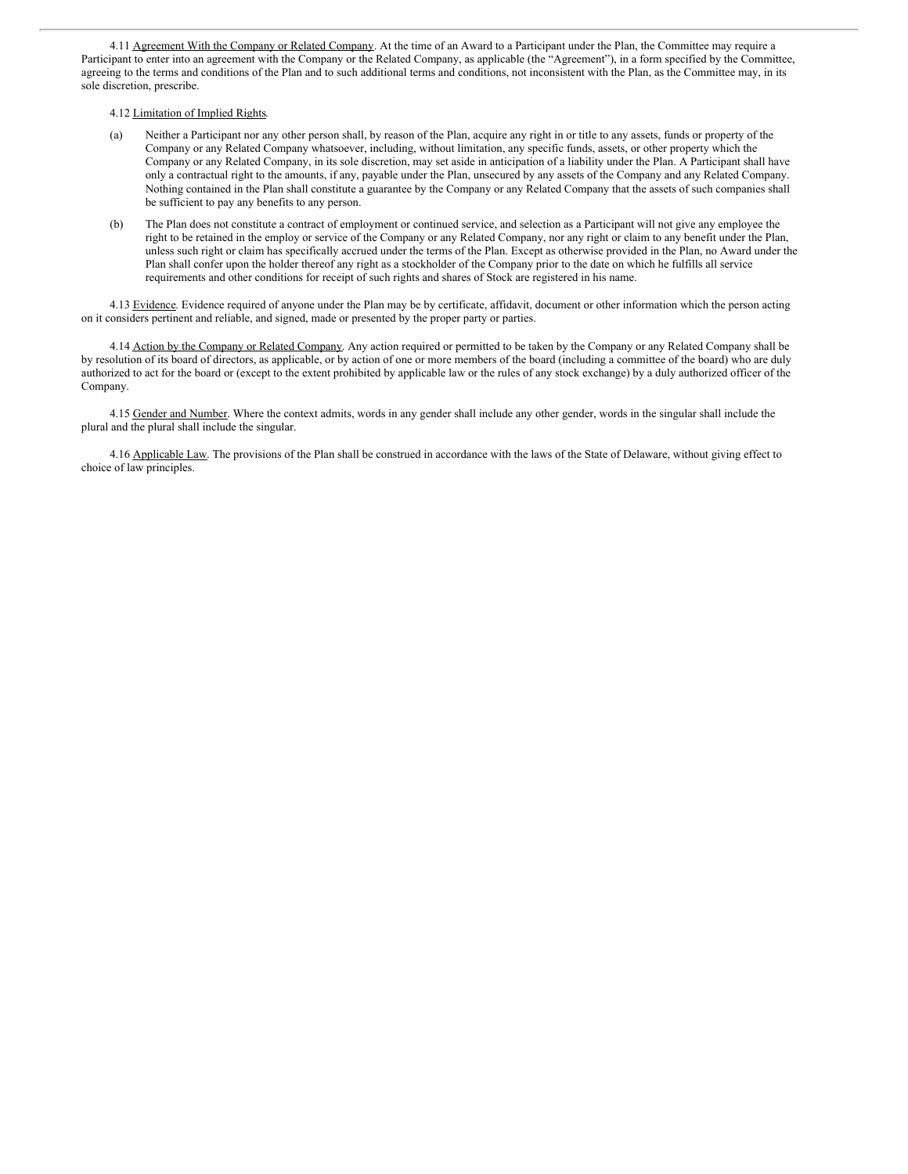4.11 Agreement With the Company or Related Company. At the time of an Award to a Participant under the Plan, the Committee may require a Participant to enter into an agreement with the Company or the Related Company, as applicable (the "Agreement"), in a form specified by the Committee, agreeing to the terms and conditions of the Plan and to such additional terms and conditions, not inconsistent with the Plan, as the Committee may, in its sole discretion, prescribe.

#### 4.12 Limitation of Implied Rights.

- (a) Neither a Participant nor any other person shall, by reason of the Plan, acquire any right in or title to any assets, funds or property of the Company or any Related Company whatsoever, including, without limitation, any specific funds, assets, or other property which the Company or any Related Company, in its sole discretion, may set aside in anticipation of a liability under the Plan. A Participant shall have only a contractual right to the amounts, if any, payable under the Plan, unsecured by any assets of the Company and any Related Company. Nothing contained in the Plan shall constitute a guarantee by the Company or any Related Company that the assets of such companies shall be sufficient to pay any benefits to any person.
- (b) The Plan does not constitute a contract of employment or continued service, and selection as a Participant will not give any employee the right to be retained in the employ or service of the Company or any Related Company, nor any right or claim to any benefit under the Plan, unless such right or claim has specifically accrued under the terms of the Plan. Except as otherwise provided in the Plan, no Award under the Plan shall confer upon the holder thereof any right as a stockholder of the Company prior to the date on which he fulfills all service requirements and other conditions for receipt of such rights and shares of Stock are registered in his name.

4.13 Evidence. Evidence required of anyone under the Plan may be by certificate, affidavit, document or other information which the person acting on it considers pertinent and reliable, and signed, made or presented by the proper party or parties.

4.14 Action by the Company or Related Company. Any action required or permitted to be taken by the Company or any Related Company shall be by resolution of its board of directors, as applicable, or by action of one or more members of the board (including a committee of the board) who are duly authorized to act for the board or (except to the extent prohibited by applicable law or the rules of any stock exchange) by a duly authorized officer of the Company.

4.15 Gender and Number. Where the context admits, words in any gender shall include any other gender, words in the singular shall include the plural and the plural shall include the singular.

4.16 Applicable Law. The provisions of the Plan shall be construed in accordance with the laws of the State of Delaware, without giving effect to choice of law principles.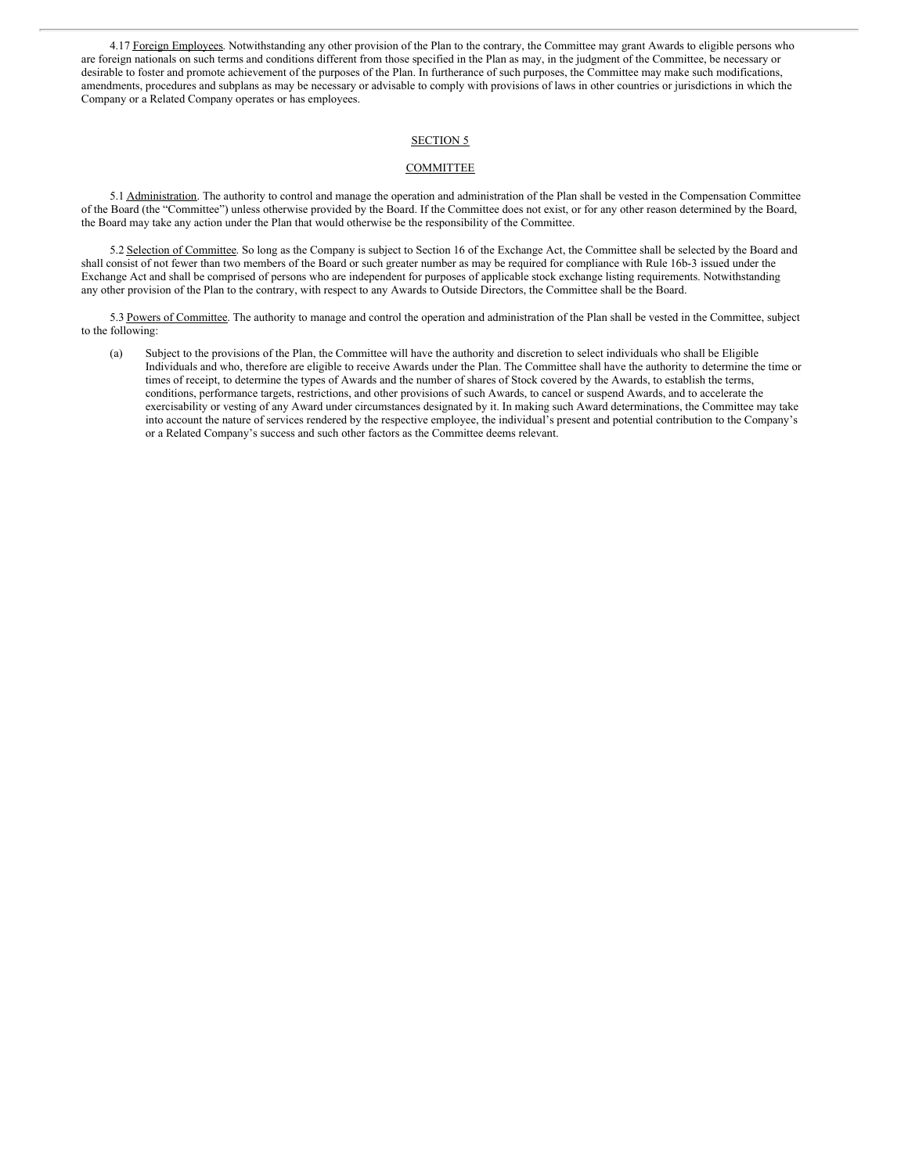4.17 Foreign Employees. Notwithstanding any other provision of the Plan to the contrary, the Committee may grant Awards to eligible persons who are foreign nationals on such terms and conditions different from those specified in the Plan as may, in the judgment of the Committee, be necessary or desirable to foster and promote achievement of the purposes of the Plan. In furtherance of such purposes, the Committee may make such modifications, amendments, procedures and subplans as may be necessary or advisable to comply with provisions of laws in other countries or jurisdictions in which the Company or a Related Company operates or has employees.

#### SECTION 5

# **COMMITTEE**

5.1 Administration. The authority to control and manage the operation and administration of the Plan shall be vested in the Compensation Committee of the Board (the "Committee") unless otherwise provided by the Board. If the Committee does not exist, or for any other reason determined by the Board, the Board may take any action under the Plan that would otherwise be the responsibility of the Committee.

5.2 Selection of Committee. So long as the Company is subject to Section 16 of the Exchange Act, the Committee shall be selected by the Board and shall consist of not fewer than two members of the Board or such greater number as may be required for compliance with Rule 16b-3 issued under the Exchange Act and shall be comprised of persons who are independent for purposes of applicable stock exchange listing requirements. Notwithstanding any other provision of the Plan to the contrary, with respect to any Awards to Outside Directors, the Committee shall be the Board.

5.3 Powers of Committee. The authority to manage and control the operation and administration of the Plan shall be vested in the Committee, subject to the following:

(a) Subject to the provisions of the Plan, the Committee will have the authority and discretion to select individuals who shall be Eligible Individuals and who, therefore are eligible to receive Awards under the Plan. The Committee shall have the authority to determine the time or times of receipt, to determine the types of Awards and the number of shares of Stock covered by the Awards, to establish the terms, conditions, performance targets, restrictions, and other provisions of such Awards, to cancel or suspend Awards, and to accelerate the exercisability or vesting of any Award under circumstances designated by it. In making such Award determinations, the Committee may take into account the nature of services rendered by the respective employee, the individual's present and potential contribution to the Company's or a Related Company's success and such other factors as the Committee deems relevant.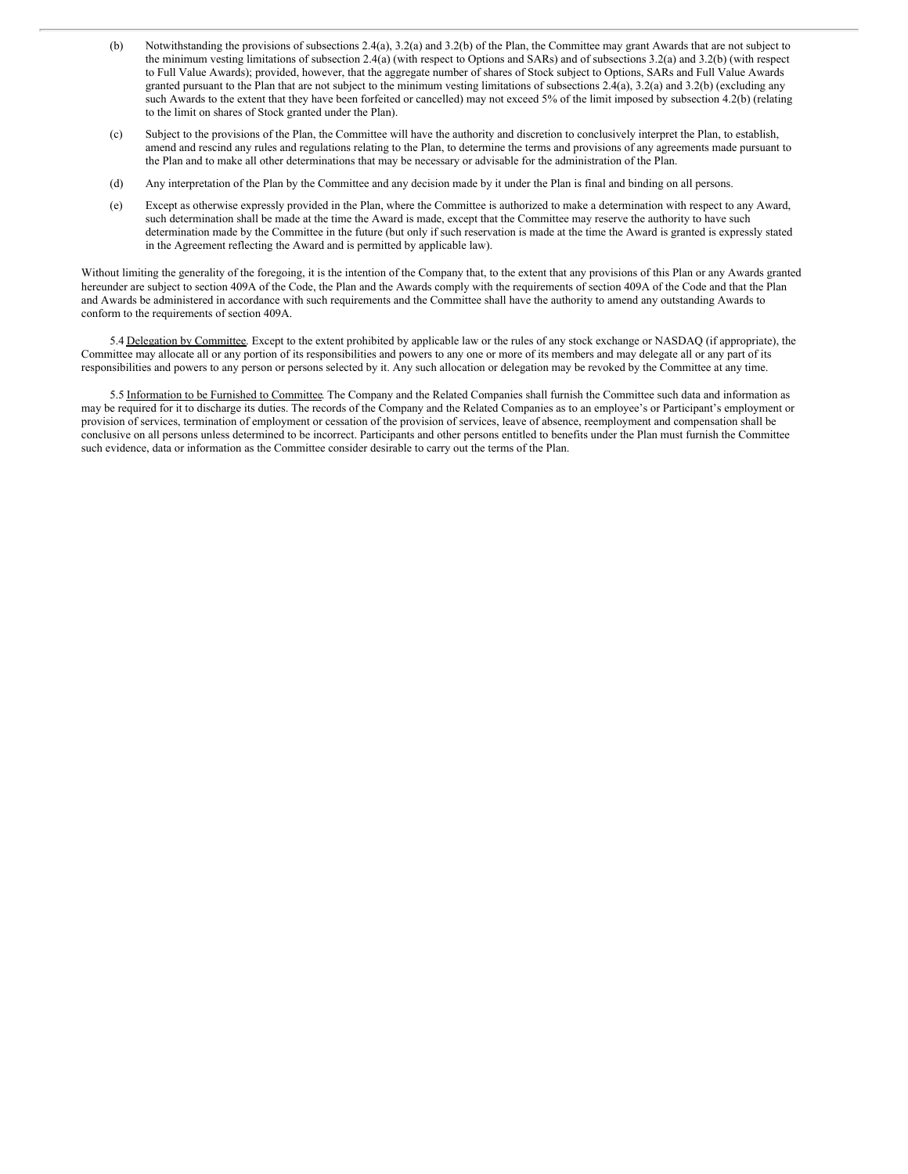- (b) Notwithstanding the provisions of subsections 2.4(a), 3.2(a) and 3.2(b) of the Plan, the Committee may grant Awards that are not subject to the minimum vesting limitations of subsection 2.4(a) (with respect to Options and SARs) and of subsections 3.2(a) and 3.2(b) (with respect to Full Value Awards); provided, however, that the aggregate number of shares of Stock subject to Options, SARs and Full Value Awards granted pursuant to the Plan that are not subject to the minimum vesting limitations of subsections 2.4(a), 3.2(a) and 3.2(b) (excluding any such Awards to the extent that they have been forfeited or cancelled) may not exceed 5% of the limit imposed by subsection 4.2(b) (relating to the limit on shares of Stock granted under the Plan).
- (c) Subject to the provisions of the Plan, the Committee will have the authority and discretion to conclusively interpret the Plan, to establish, amend and rescind any rules and regulations relating to the Plan, to determine the terms and provisions of any agreements made pursuant to the Plan and to make all other determinations that may be necessary or advisable for the administration of the Plan.
- (d) Any interpretation of the Plan by the Committee and any decision made by it under the Plan is final and binding on all persons.
- (e) Except as otherwise expressly provided in the Plan, where the Committee is authorized to make a determination with respect to any Award, such determination shall be made at the time the Award is made, except that the Committee may reserve the authority to have such determination made by the Committee in the future (but only if such reservation is made at the time the Award is granted is expressly stated in the Agreement reflecting the Award and is permitted by applicable law).

Without limiting the generality of the foregoing, it is the intention of the Company that, to the extent that any provisions of this Plan or any Awards granted hereunder are subject to section 409A of the Code, the Plan and the Awards comply with the requirements of section 409A of the Code and that the Plan and Awards be administered in accordance with such requirements and the Committee shall have the authority to amend any outstanding Awards to conform to the requirements of section 409A.

5.4 Delegation by Committee. Except to the extent prohibited by applicable law or the rules of any stock exchange or NASDAQ (if appropriate), the Committee may allocate all or any portion of its responsibilities and powers to any one or more of its members and may delegate all or any part of its responsibilities and powers to any person or persons selected by it. Any such allocation or delegation may be revoked by the Committee at any time.

5.5 Information to be Furnished to Committee. The Company and the Related Companies shall furnish the Committee such data and information as may be required for it to discharge its duties. The records of the Company and the Related Companies as to an employee's or Participant's employment or provision of services, termination of employment or cessation of the provision of services, leave of absence, reemployment and compensation shall be conclusive on all persons unless determined to be incorrect. Participants and other persons entitled to benefits under the Plan must furnish the Committee such evidence, data or information as the Committee consider desirable to carry out the terms of the Plan.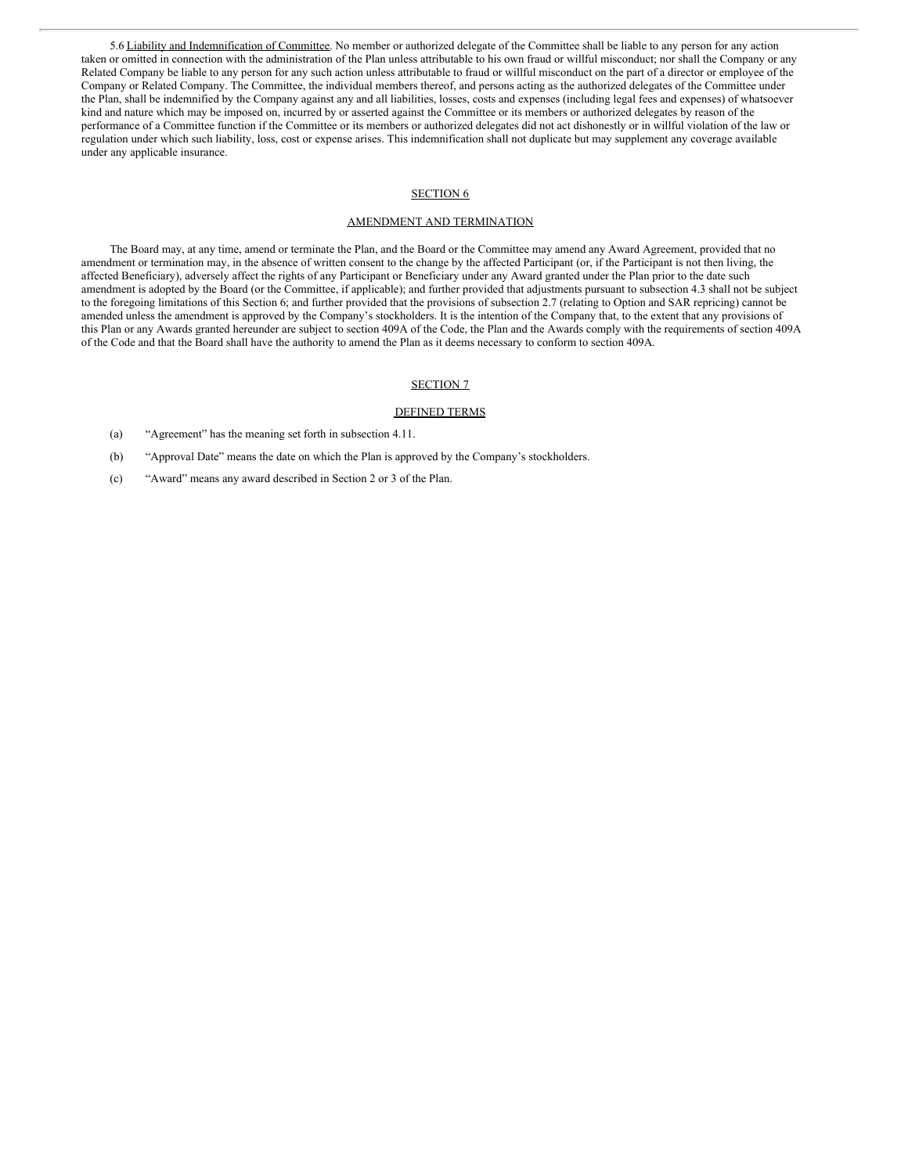5.6 Liability and Indemnification of Committee. No member or authorized delegate of the Committee shall be liable to any person for any action taken or omitted in connection with the administration of the Plan unless attributable to his own fraud or willful misconduct; nor shall the Company or any Related Company be liable to any person for any such action unless attributable to fraud or willful misconduct on the part of a director or employee of the Company or Related Company. The Committee, the individual members thereof, and persons acting as the authorized delegates of the Committee under the Plan, shall be indemnified by the Company against any and all liabilities, losses, costs and expenses (including legal fees and expenses) of whatsoever kind and nature which may be imposed on, incurred by or asserted against the Committee or its members or authorized delegates by reason of the performance of a Committee function if the Committee or its members or authorized delegates did not act dishonestly or in willful violation of the law or regulation under which such liability, loss, cost or expense arises. This indemnification shall not duplicate but may supplement any coverage available under any applicable insurance.

#### SECTION<sub>6</sub>

#### AMENDMENT AND TERMINATION

The Board may, at any time, amend or terminate the Plan, and the Board or the Committee may amend any Award Agreement, provided that no amendment or termination may, in the absence of written consent to the change by the affected Participant (or, if the Participant is not then living, the affected Beneficiary), adversely affect the rights of any Participant or Beneficiary under any Award granted under the Plan prior to the date such amendment is adopted by the Board (or the Committee, if applicable); and further provided that adjustments pursuant to subsection 4.3 shall not be subject to the foregoing limitations of this Section 6; and further provided that the provisions of subsection 2.7 (relating to Option and SAR repricing) cannot be amended unless the amendment is approved by the Company's stockholders. It is the intention of the Company that, to the extent that any provisions of this Plan or any Awards granted hereunder are subject to section 409A of the Code, the Plan and the Awards comply with the requirements of section 409A of the Code and that the Board shall have the authority to amend the Plan as it deems necessary to conform to section 409A.

# SECTION 7

#### DEFINED TERMS

- (a) "Agreement" has the meaning set forth in subsection 4.11.
- (b) "Approval Date" means the date on which the Plan is approved by the Company's stockholders.
- (c) "Award" means any award described in Section 2 or 3 of the Plan.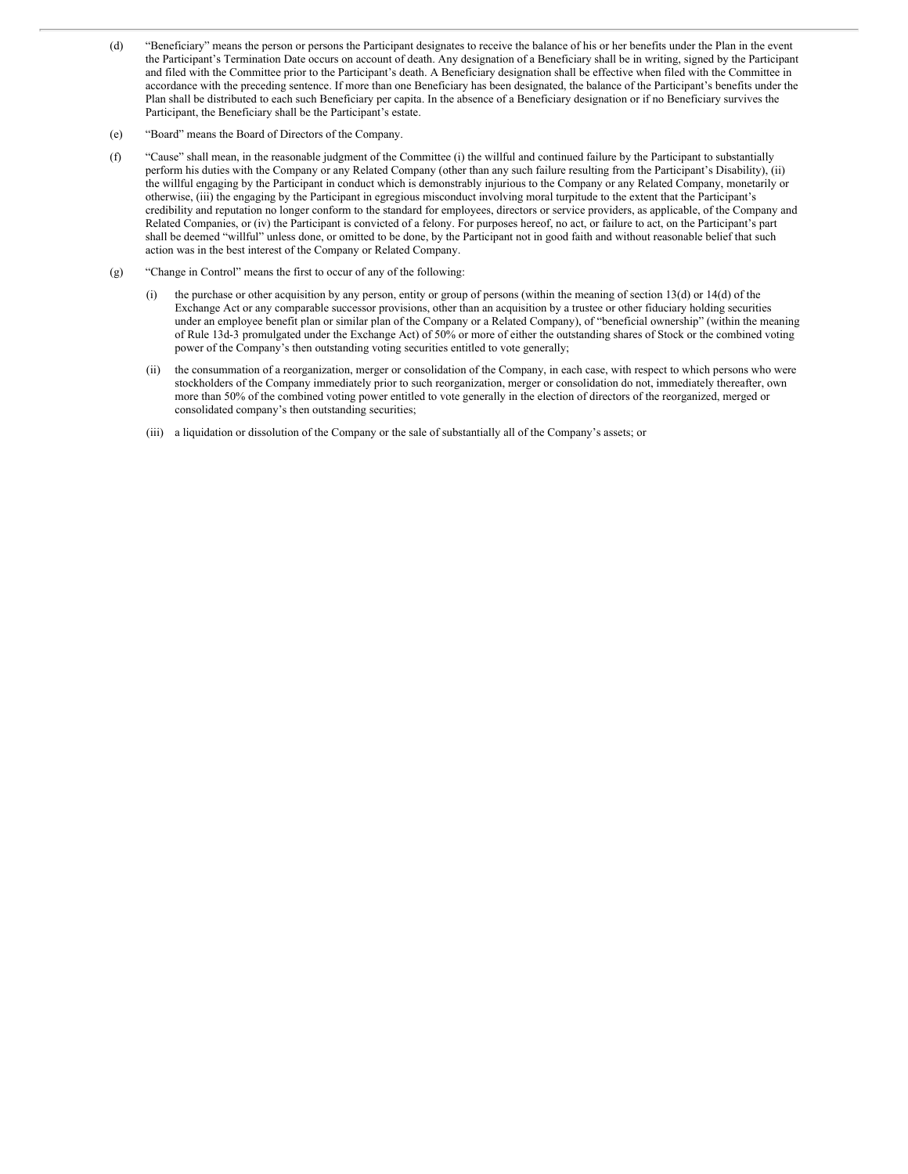- (d) "Beneficiary" means the person or persons the Participant designates to receive the balance of his or her benefits under the Plan in the event the Participant's Termination Date occurs on account of death. Any designation of a Beneficiary shall be in writing, signed by the Participant and filed with the Committee prior to the Participant's death. A Beneficiary designation shall be effective when filed with the Committee in accordance with the preceding sentence. If more than one Beneficiary has been designated, the balance of the Participant's benefits under the Plan shall be distributed to each such Beneficiary per capita. In the absence of a Beneficiary designation or if no Beneficiary survives the Participant, the Beneficiary shall be the Participant's estate.
- (e) "Board" means the Board of Directors of the Company.
- (f) "Cause" shall mean, in the reasonable judgment of the Committee (i) the willful and continued failure by the Participant to substantially perform his duties with the Company or any Related Company (other than any such failure resulting from the Participant's Disability), (ii) the willful engaging by the Participant in conduct which is demonstrably injurious to the Company or any Related Company, monetarily or otherwise, (iii) the engaging by the Participant in egregious misconduct involving moral turpitude to the extent that the Participant's credibility and reputation no longer conform to the standard for employees, directors or service providers, as applicable, of the Company and Related Companies, or (iv) the Participant is convicted of a felony. For purposes hereof, no act, or failure to act, on the Participant's part shall be deemed "willful" unless done, or omitted to be done, by the Participant not in good faith and without reasonable belief that such action was in the best interest of the Company or Related Company.
- (g) "Change in Control" means the first to occur of any of the following:
	- (i) the purchase or other acquisition by any person, entity or group of persons (within the meaning of section  $13(d)$  or  $14(d)$  of the Exchange Act or any comparable successor provisions, other than an acquisition by a trustee or other fiduciary holding securities under an employee benefit plan or similar plan of the Company or a Related Company), of "beneficial ownership" (within the meaning of Rule 13d-3 promulgated under the Exchange Act) of 50% or more of either the outstanding shares of Stock or the combined voting power of the Company's then outstanding voting securities entitled to vote generally;
	- (ii) the consummation of a reorganization, merger or consolidation of the Company, in each case, with respect to which persons who were stockholders of the Company immediately prior to such reorganization, merger or consolidation do not, immediately thereafter, own more than 50% of the combined voting power entitled to vote generally in the election of directors of the reorganized, merged or consolidated company's then outstanding securities;
	- (iii) a liquidation or dissolution of the Company or the sale of substantially all of the Company's assets; or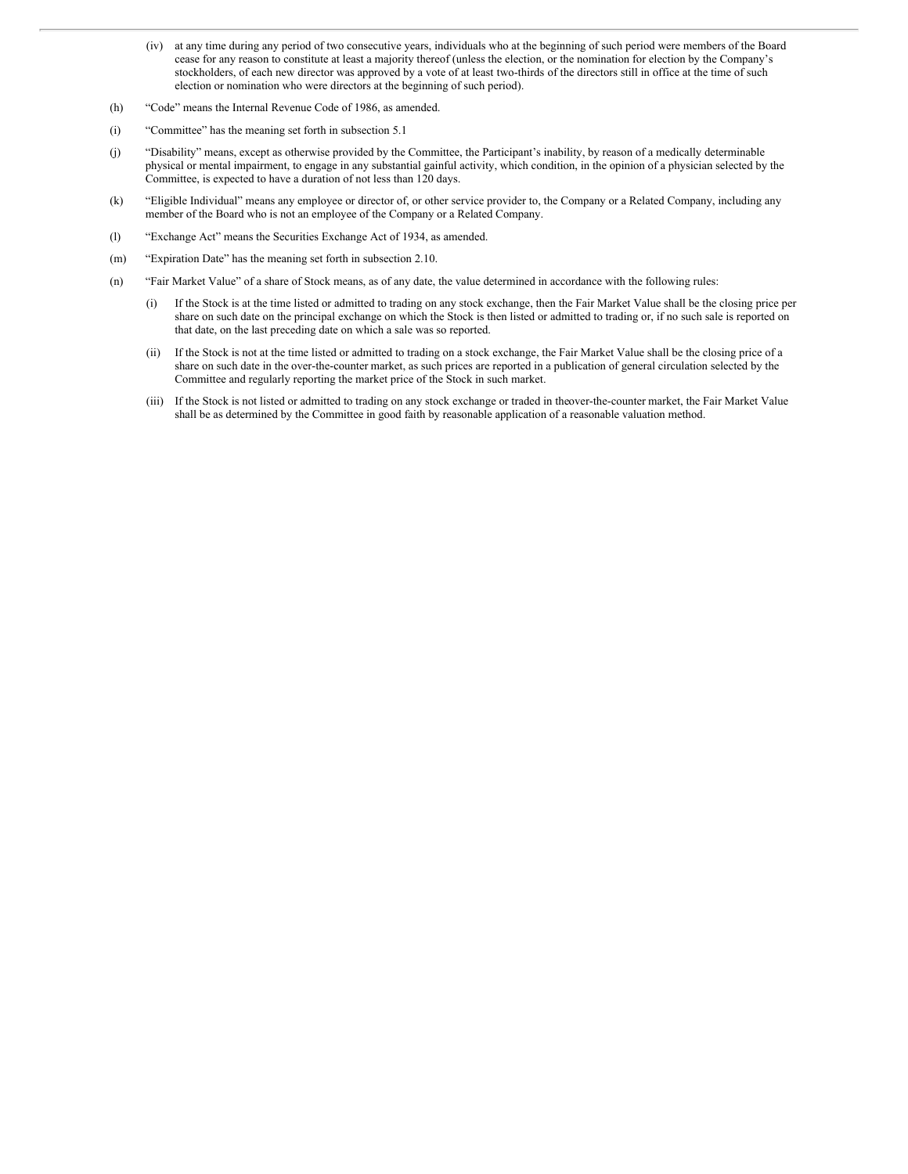- (iv) at any time during any period of two consecutive years, individuals who at the beginning of such period were members of the Board cease for any reason to constitute at least a majority thereof (unless the election, or the nomination for election by the Company's stockholders, of each new director was approved by a vote of at least two-thirds of the directors still in office at the time of such election or nomination who were directors at the beginning of such period).
- (h) "Code" means the Internal Revenue Code of 1986, as amended.
- (i) "Committee" has the meaning set forth in subsection 5.1
- (j) "Disability" means, except as otherwise provided by the Committee, the Participant's inability, by reason of a medically determinable physical or mental impairment, to engage in any substantial gainful activity, which condition, in the opinion of a physician selected by the Committee, is expected to have a duration of not less than 120 days.
- (k) "Eligible Individual" means any employee or director of, or other service provider to, the Company or a Related Company, including any member of the Board who is not an employee of the Company or a Related Company.
- (l) "Exchange Act" means the Securities Exchange Act of 1934, as amended.
- (m) "Expiration Date" has the meaning set forth in subsection 2.10.
- (n) "Fair Market Value" of a share of Stock means, as of any date, the value determined in accordance with the following rules:
	- (i) If the Stock is at the time listed or admitted to trading on any stock exchange, then the Fair Market Value shall be the closing price per share on such date on the principal exchange on which the Stock is then listed or admitted to trading or, if no such sale is reported on that date, on the last preceding date on which a sale was so reported.
	- (ii) If the Stock is not at the time listed or admitted to trading on a stock exchange, the Fair Market Value shall be the closing price of a share on such date in the over-the-counter market, as such prices are reported in a publication of general circulation selected by the Committee and regularly reporting the market price of the Stock in such market.
	- (iii) If the Stock is not listed or admitted to trading on any stock exchange or traded in theover-the-counter market, the Fair Market Value shall be as determined by the Committee in good faith by reasonable application of a reasonable valuation method.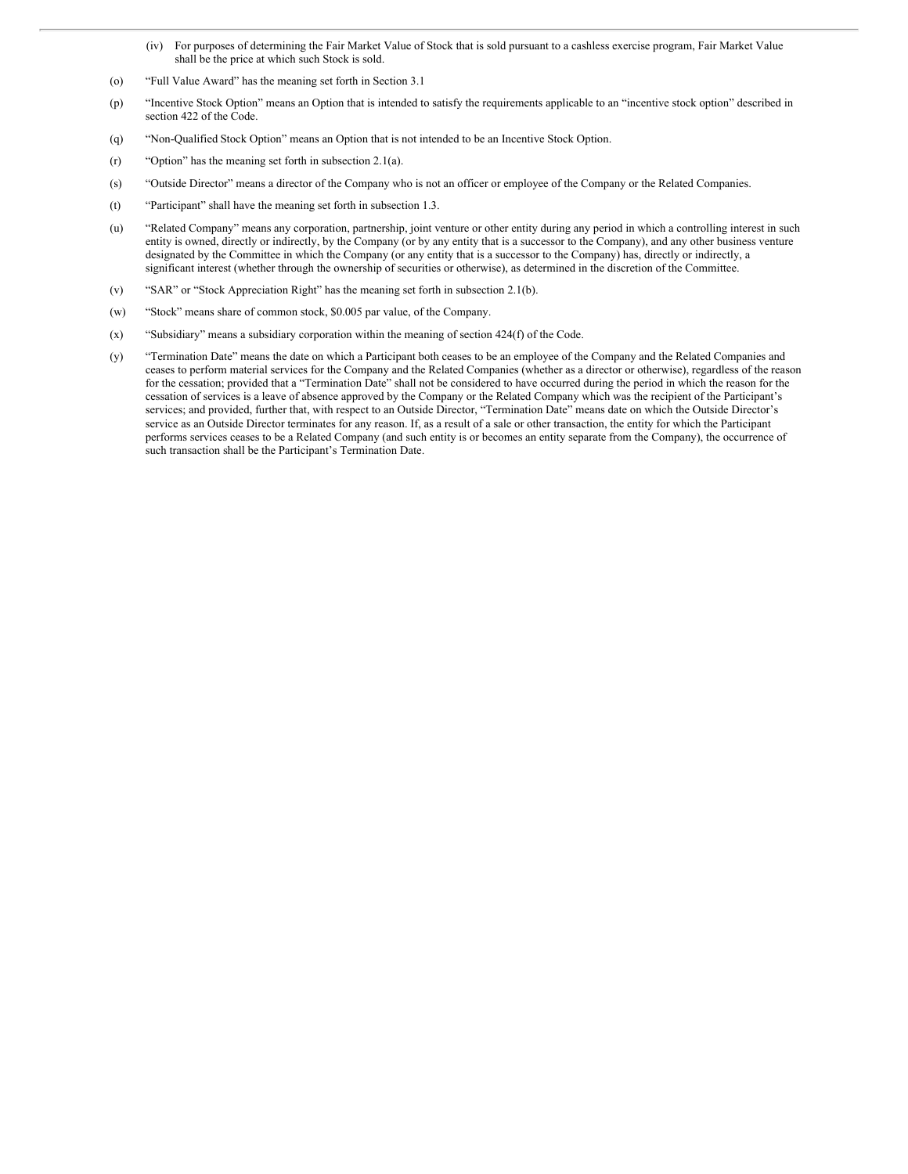- (iv) For purposes of determining the Fair Market Value of Stock that is sold pursuant to a cashless exercise program, Fair Market Value shall be the price at which such Stock is sold.
- (o) "Full Value Award" has the meaning set forth in Section 3.1
- (p) "Incentive Stock Option" means an Option that is intended to satisfy the requirements applicable to an "incentive stock option" described in section 422 of the Code.
- (q) "Non-Qualified Stock Option" means an Option that is not intended to be an Incentive Stock Option.
- (r) "Option" has the meaning set forth in subsection 2.1(a).
- (s) "Outside Director" means a director of the Company who is not an officer or employee of the Company or the Related Companies.
- (t) "Participant" shall have the meaning set forth in subsection 1.3.
- (u) "Related Company" means any corporation, partnership, joint venture or other entity during any period in which a controlling interest in such entity is owned, directly or indirectly, by the Company (or by any entity that is a successor to the Company), and any other business venture designated by the Committee in which the Company (or any entity that is a successor to the Company) has, directly or indirectly, a significant interest (whether through the ownership of securities or otherwise), as determined in the discretion of the Committee.
- (v) "SAR" or "Stock Appreciation Right" has the meaning set forth in subsection 2.1(b).
- (w) "Stock" means share of common stock, \$0.005 par value, of the Company.
- (x) "Subsidiary" means a subsidiary corporation within the meaning of section 424(f) of the Code.
- (y) "Termination Date" means the date on which a Participant both ceases to be an employee of the Company and the Related Companies and ceases to perform material services for the Company and the Related Companies (whether as a director or otherwise), regardless of the reason for the cessation; provided that a "Termination Date" shall not be considered to have occurred during the period in which the reason for the cessation of services is a leave of absence approved by the Company or the Related Company which was the recipient of the Participant's services; and provided, further that, with respect to an Outside Director, "Termination Date" means date on which the Outside Director's service as an Outside Director terminates for any reason. If, as a result of a sale or other transaction, the entity for which the Participant performs services ceases to be a Related Company (and such entity is or becomes an entity separate from the Company), the occurrence of such transaction shall be the Participant's Termination Date.